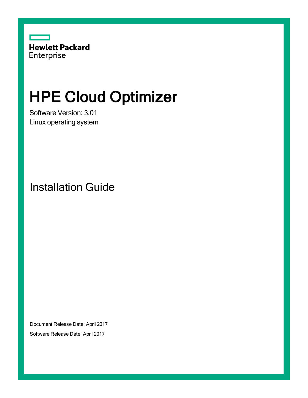

# HPE Cloud Optimizer

Software Version: 3.01 Linux operating system

Installation Guide

Document Release Date: April 2017 Software Release Date: April 2017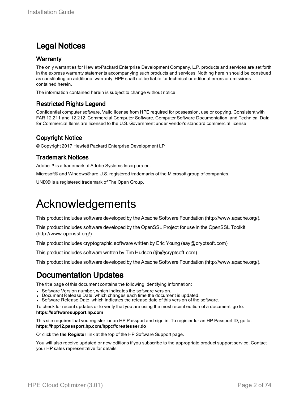### Legal Notices

### **Warranty**

The only warranties for Hewlett-Packard Enterprise Development Company, L.P. products and services are set forth in the express warranty statements accompanying such products and services. Nothing herein should be construed as constituting an additional warranty. HPE shall not be liable for technical or editorial errors or omissions contained herein.

The information contained herein is subject to change without notice.

### Restricted Rights Legend

Confidential computer software. Valid license from HPE required for possession, use or copying. Consistent with FAR 12.211 and 12.212, Commercial Computer Software, Computer Software Documentation, and Technical Data for Commercial Items are licensed to the U.S. Government under vendor's standard commercial license.

### Copyright Notice

© Copyright 2017 Hewlett Packard Enterprise Development LP

### Trademark Notices

Adobe™ is a trademark of Adobe Systems Incorporated.

Microsoft® and Windows® are U.S. registered trademarks of the Microsoft group of companies.

UNIX® is a registered trademark of The Open Group.

## Acknowledgements

This product includes software developed by the Apache Software Foundation (http://www.apache.org/).

This product includes software developed by the OpenSSL Project for use in the OpenSSL Toolkit (http://www.openssl.org/)

This product includes cryptographic software written by Eric Young (eay@cryptsoft.com)

This product includes software written by Tim Hudson (tjh@cryptsoft.com)

This product includes software developed by the Apache Software Foundation (http://www.apache.org/).

### Documentation Updates

The title page of this document contains the following identifying information:

- Software Version number, which indicates the software version.
- Document Release Date, which changes each time the document is updated.
- Software Release Date, which indicates the release date of this version of the software.

To check for recent updates or to verify that you are using the most recent edition of a document, go to: **https://softwaresupport.hp.com**

This site requires that you register for an HP Passport and sign in. To register for an HP Passport ID, go to: **https://hpp12.passport.hp.com/hppcf/createuser.do**

Or click the **the Register** link at the top of the HP Software Support page.

You will also receive updated or new editions if you subscribe to the appropriate product support service. Contact your HP sales representative for details.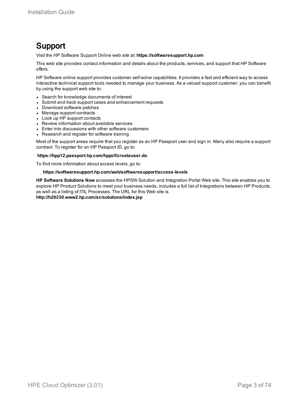### Support

Visit the HP Software Support Online web site at: **https://softwaresupport.hp.com**

This web site provides contact information and details about the products, services, and support that HP Software offers.

HP Software online support provides customer self-solve capabilities. It provides a fast and efficient way to access interactive technical support tools needed to manage your business. As a valued support customer, you can benefit by using the support web site to:

- Search for knowledge documents of interest
- Submit and track support cases and enhancement requests
- Download software patches
- Manage support contracts
- Look up HP support contacts
- Review information about available services
- Enter into discussions with other software customers
- Research and register for software training

Most of the support areas require that you register as an HP Passport user and sign in. Many also require a support contract. To register for an HP Passport ID, go to:

#### **https://hpp12.passport.hp.com/hppcf/createuser.do**

To find more information about access levels, go to:

#### **https://softwaresupport.hp.com/web/softwaresupport/access-levels**

**HP Software Solutions Now** accesses the HPSW Solution and Integration Portal Web site. This site enables you to explore HP Product Solutions to meet your business needs, includes a full list of Integrations between HP Products, as well as a listing of ITIL Processes. The URL for this Web site is **http://h20230.www2.hp.com/sc/solutions/index.jsp**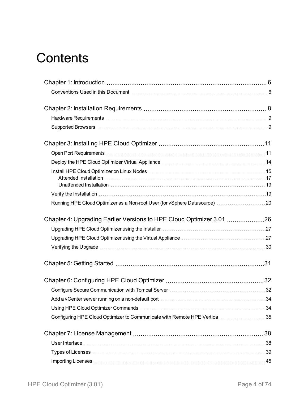# **Contents**

| Running HPE Cloud Optimizer as a Non-root User (for vSphere Datasource)  20 |  |
|-----------------------------------------------------------------------------|--|
|                                                                             |  |
|                                                                             |  |
|                                                                             |  |
|                                                                             |  |
|                                                                             |  |
|                                                                             |  |
|                                                                             |  |
|                                                                             |  |
|                                                                             |  |
| Configuring HPE Cloud Optimizer to Communicate with Remote HPE Vertica 35   |  |
|                                                                             |  |
|                                                                             |  |
|                                                                             |  |
|                                                                             |  |
|                                                                             |  |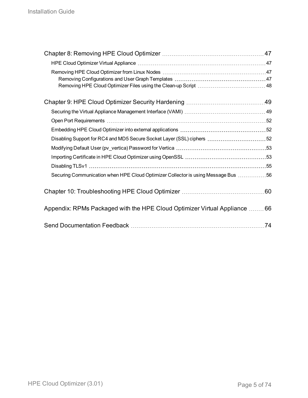| Disabling Support for RC4 and MD5 Secure Socket Layer (SSL) ciphers  52           |  |
|-----------------------------------------------------------------------------------|--|
|                                                                                   |  |
|                                                                                   |  |
|                                                                                   |  |
| Securing Communication when HPE Cloud Optimizer Collector is using Message Bus 56 |  |
|                                                                                   |  |
| Appendix: RPMs Packaged with the HPE Cloud Optimizer Virtual Appliance  66        |  |
|                                                                                   |  |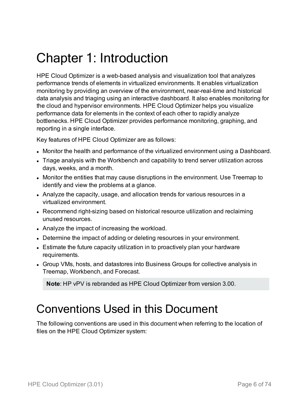# <span id="page-5-0"></span>Chapter 1: Introduction

HPE Cloud Optimizer is a web-based analysis and visualization tool that analyzes performance trends of elements in virtualized environments. It enables virtualization monitoring by providing an overview of the environment, near-real-time and historical data analysis and triaging using an interactive dashboard. It also enables monitoring for the cloud and hypervisor environments. HPE Cloud Optimizer helps you visualize performance data for elements in the context of each other to rapidly analyze bottlenecks. HPE Cloud Optimizer provides performance monitoring, graphing, and reporting in a single interface.

Key features of HPE Cloud Optimizer are as follows:

- Monitor the health and performance of the virtualized environment using a Dashboard.
- Triage analysis with the Workbench and capability to trend server utilization across days, weeks, and a month.
- Monitor the entities that may cause disruptions in the environment. Use Treemap to identify and view the problems at a glance.
- Analyze the capacity, usage, and allocation trends for various resources in a virtualized environment.
- Recommend right-sizing based on historical resource utilization and reclaiming unused resources.
- Analyze the impact of increasing the workload.
- Determine the impact of adding or deleting resources in your environment.
- Estimate the future capacity utilization in to proactively plan your hardware requirements.
- Group VMs, hosts, and datastores into Business Groups for collective analysis in Treemap, Workbench, and Forecast.

<span id="page-5-1"></span>**Note**: HP vPV is rebranded as HPE Cloud Optimizer from version 3.00.

## Conventions Used in this Document

The following conventions are used in this document when referring to the location of files on the HPE Cloud Optimizer system: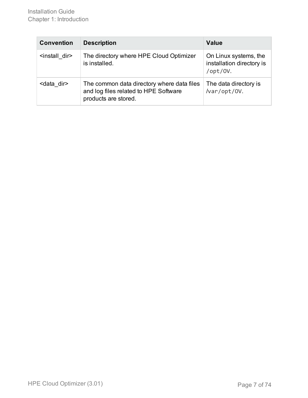| <b>Convention</b>          | <b>Description</b>                                                                                          | <b>Value</b>                                                   |
|----------------------------|-------------------------------------------------------------------------------------------------------------|----------------------------------------------------------------|
| <install dir=""></install> | The directory where HPE Cloud Optimizer<br>is installed.                                                    | On Linux systems, the<br>installation directory is<br>/opt/0V. |
| <data dir=""></data>       | The common data directory where data files<br>and log files related to HPE Software<br>products are stored. | The data directory is<br>/var/opt/0V.                          |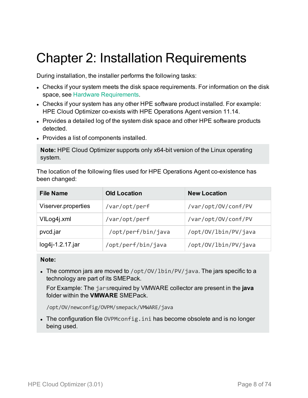# <span id="page-7-0"></span>Chapter 2: Installation Requirements

During installation, the installer performs the following tasks:

- Checks if your system meets the disk space requirements. For information on the disk space, see Hardware [Requirements](#page-8-0).
- Checks if your system has any other HPE software product installed. For example: HPE Cloud Optimizer co-exists with HPE Operations Agent version 11.14.
- Provides a detailed log of the system disk space and other HPE software products detected.
- Provides a list of components installed.

**Note:** HPE Cloud Optimizer supports only x64-bit version of the Linux operating system.

The location of the following files used for HPE Operations Agent co-existence has been changed:

| <b>File Name</b>    | <b>Old Location</b> | <b>New Location</b>  |
|---------------------|---------------------|----------------------|
| Viserver.properties | /var/opt/perf       | /var/opt/0V/conf/PV  |
| VILog4j.xml         | /var/opt/perf       | /var/opt/0V/conf/PV  |
| pvcd.jar            | /opt/perf/bin/java  | /opt/0V/lbin/PV/java |
| log4j-1.2.17.jar    | /opt/perf/bin/java  | /opt/0V/lbin/PV/java |

### **Note:**

• The common jars are moved to /opt/0V/lbin/PV/java. The jars specific to a technology are part of its SMEPack.

For Example: The jarsrequired by VMWARE collector are present in the **java** folder within the **VMWARE** SMEPack.

/opt/OV/newconfig/OVPM/smepack/VMWARE/java

• The configuration file OVPMconfig.ini has become obsolete and is no longer being used.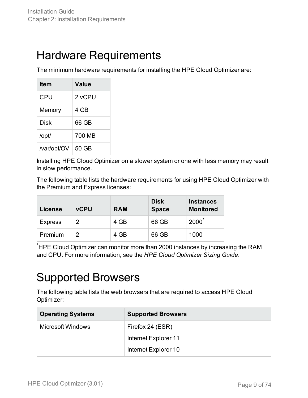## <span id="page-8-0"></span>Hardware Requirements

The minimum hardware requirements for installing the HPE Cloud Optimizer are:

| ltem        | Value  |
|-------------|--------|
| CPU         | 2 vCPU |
| Memory      | 4 GB   |
| Disk        | 66 GB  |
| /opt/       | 700 MB |
| /var/opt/OV | 50 GB  |

Installing HPE Cloud Optimizer on a slower system or one with less memory may result in slow performance.

The following table lists the hardware requirements for using HPE Cloud Optimizer with the Premium and Express licenses:

| License        | <b>vCPU</b> | <b>RAM</b> | <b>Disk</b><br><b>Space</b> | <b>Instances</b><br><b>Monitored</b> |
|----------------|-------------|------------|-----------------------------|--------------------------------------|
| <b>Express</b> | 2           | 4 GB       | 66 GB                       | $2000^*$                             |
| Premium        | 2           | 4 GB       | 66 GB                       | 1000                                 |

<span id="page-8-1"></span>\*HPE Cloud Optimizer can monitor more than 2000 instances by increasing the RAM and CPU. For more information, see the *HPE Cloud Optimizer Sizing Guide*.

# Supported Browsers

The following table lists the web browsers that are required to access HPE Cloud Optimizer:

| <b>Operating Systems</b> | <b>Supported Browsers</b> |  |
|--------------------------|---------------------------|--|
| Microsoft Windows        | Firefox 24 (ESR)          |  |
|                          | Internet Explorer 11      |  |
|                          | Internet Explorer 10      |  |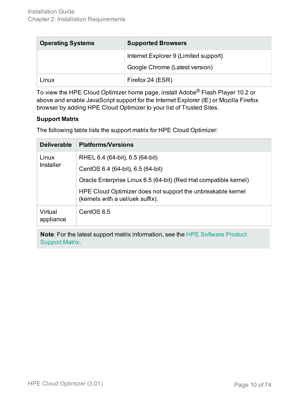| <b>Operating Systems</b> | <b>Supported Browsers</b>             |  |
|--------------------------|---------------------------------------|--|
|                          | Internet Explorer 9 (Limited support) |  |
|                          | Google Chrome (Latest version)        |  |
| Linux                    | Firefox 24 (ESR)                      |  |

To view the HPE Cloud Optimizer home page, install Adobe® Flash Player 10.2 or above and enable JavaScript support for the Internet Explorer (IE) or Mozilla Firefox browser by adding HPE Cloud Optimizer to your list of Trusted Sites.

### **Support Matrix**

The following table lists the support matrix for HPE Cloud Optimizer:

| <b>Deliverable</b>   | <b>Platforms/Versions</b>                                                                       |
|----------------------|-------------------------------------------------------------------------------------------------|
| Linux                | RHEL 6.4 (64-bit), 6.5 (64-bit)                                                                 |
| Installer            | CentOS 6.4 (64-bit), 6.5 (64-bit)                                                               |
|                      | Oracle Enterprise Linux 6.5 (64-bit) (Red Hat compatible kernel)                                |
|                      | HPE Cloud Optimizer does not support the unbreakable kernel<br>(kernels with a uel/uek suffix). |
| Virtual<br>appliance | CentOS 6.5                                                                                      |

**Note**: For the latest support matrix information, see the HPE [Software](https://softwaresupport.hp.com/group/softwaresupport/search-result/-/facetsearch/document/KM323488) Product [Support](https://softwaresupport.hp.com/group/softwaresupport/search-result/-/facetsearch/document/KM323488) Matrix.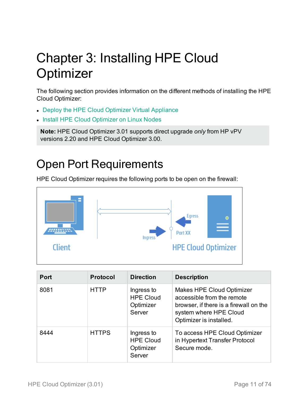# <span id="page-10-0"></span>Chapter 3: Installing HPE Cloud **Optimizer**

The following section provides information on the different methods of installing the HPE Cloud Optimizer:

- Deploy the HPE Cloud [Optimizer Virtual](#page-13-0) Appliance
- Install HPE Cloud [Optimizer](#page-14-0) on Linux Nodes

**Note:** HPE Cloud Optimizer 3.01 supports direct upgrade *only* from HP vPV versions 2.20 and HPE Cloud Optimizer 3.00.

# <span id="page-10-1"></span>Open Port Requirements

HPE Cloud Optimizer requires the following ports to be open on the firewall:



| <b>Port</b> | <b>Protocol</b> | <b>Direction</b>                                      | <b>Description</b>                                                                                                                                            |
|-------------|-----------------|-------------------------------------------------------|---------------------------------------------------------------------------------------------------------------------------------------------------------------|
| 8081        | <b>HTTP</b>     | Ingress to<br><b>HPE Cloud</b><br>Optimizer<br>Server | <b>Makes HPE Cloud Optimizer</b><br>accessible from the remote<br>browser, if there is a firewall on the<br>system where HPE Cloud<br>Optimizer is installed. |
| 8444        | <b>HTTPS</b>    | Ingress to<br><b>HPE Cloud</b><br>Optimizer<br>Server | To access HPE Cloud Optimizer<br>in Hypertext Transfer Protocol<br>Secure mode.                                                                               |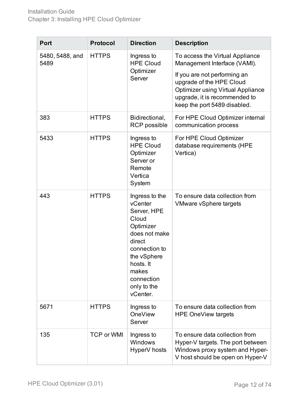| <b>Port</b>             | <b>Protocol</b>   | <b>Direction</b>                                                                                                                                                                         | <b>Description</b>                                                                                                                                                                                                                       |
|-------------------------|-------------------|------------------------------------------------------------------------------------------------------------------------------------------------------------------------------------------|------------------------------------------------------------------------------------------------------------------------------------------------------------------------------------------------------------------------------------------|
| 5480, 5488, and<br>5489 | <b>HTTPS</b>      | Ingress to<br><b>HPE Cloud</b><br>Optimizer<br>Server                                                                                                                                    | To access the Virtual Appliance<br>Management Interface (VAMI).<br>If you are not performing an<br>upgrade of the HPE Cloud<br><b>Optimizer using Virtual Appliance</b><br>upgrade, it is recommended to<br>keep the port 5489 disabled. |
| 383                     | <b>HTTPS</b>      | Bidirectional,<br><b>RCP</b> possible                                                                                                                                                    | For HPE Cloud Optimizer internal<br>communication process                                                                                                                                                                                |
| 5433                    | <b>HTTPS</b>      | Ingress to<br><b>HPE Cloud</b><br>Optimizer<br>Server or<br>Remote<br>Vertica<br>System                                                                                                  | For HPE Cloud Optimizer<br>database requirements (HPE<br>Vertica)                                                                                                                                                                        |
| 443                     | <b>HTTPS</b>      | Ingress to the<br>vCenter<br>Server, HPE<br>Cloud<br>Optimizer<br>does not make<br>direct<br>connection to<br>the vSphere<br>hosts. It<br>makes<br>connection<br>only to the<br>vCenter. | To ensure data collection from<br>VMware vSphere targets                                                                                                                                                                                 |
| 5671                    | <b>HTTPS</b>      | Ingress to<br><b>OneView</b><br>Server                                                                                                                                                   | To ensure data collection from<br><b>HPE OneView targets</b>                                                                                                                                                                             |
| 135                     | <b>TCP or WMI</b> | Ingress to<br>Windows<br>HyperV hosts                                                                                                                                                    | To ensure data collection from<br>Hyper-V targets. The port between<br>Windows proxy system and Hyper-<br>V host should be open on Hyper-V                                                                                               |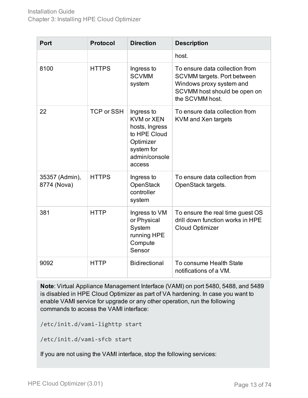| <b>Port</b>                   | <b>Protocol</b>   | <b>Direction</b>                                                                                                        | <b>Description</b>                                                                                                                                  |
|-------------------------------|-------------------|-------------------------------------------------------------------------------------------------------------------------|-----------------------------------------------------------------------------------------------------------------------------------------------------|
|                               |                   |                                                                                                                         | host.                                                                                                                                               |
| 8100                          | <b>HTTPS</b>      | Ingress to<br><b>SCVMM</b><br>system                                                                                    | To ensure data collection from<br><b>SCVMM targets. Port between</b><br>Windows proxy system and<br>SCVMM host should be open on<br>the SCVMM host. |
| 22                            | <b>TCP or SSH</b> | Ingress to<br><b>KVM or XEN</b><br>hosts, Ingress<br>to HPE Cloud<br>Optimizer<br>system for<br>admin/console<br>access | To ensure data collection from<br>KVM and Xen targets                                                                                               |
| 35357 (Admin),<br>8774 (Nova) | <b>HTTPS</b>      | Ingress to<br><b>OpenStack</b><br>controller<br>system                                                                  | To ensure data collection from<br>OpenStack targets.                                                                                                |
| 381                           | <b>HTTP</b>       | Ingress to VM<br>or Physical<br>System<br>running HPE<br>Compute<br>Sensor                                              | To ensure the real time guest OS<br>drill down function works in HPE<br><b>Cloud Optimizer</b>                                                      |
| 9092                          | <b>HTTP</b>       | <b>Bidirectional</b>                                                                                                    | To consume Health State<br>notifications of a VM.                                                                                                   |

**Note**: Virtual Appliance Management Interface (VAMI) on port 5480, 5488, and 5489 is disabled in HPE Cloud Optimizer as part of VA hardening. In case you want to enable VAMI service for upgrade or any other operation, run the following commands to access the VAMI interface:

/etc/init.d/vami-lighttp start

/etc/init.d/vami-sfcb start

If you are not using the VAMI interface, stop the following services: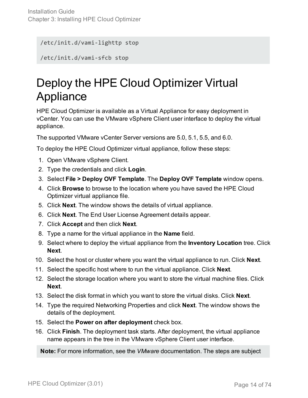/etc/init.d/vami-lighttp stop

<span id="page-13-0"></span>/etc/init.d/vami-sfcb stop

# Deploy the HPE Cloud Optimizer Virtual **Appliance**

HPE Cloud Optimizer is available as a Virtual Appliance for easy deployment in vCenter. You can use the VMware vSphere Client user interface to deploy the virtual appliance.

The supported VMware vCenter Server versions are 5.0, 5.1, 5.5, and 6.0.

To deploy the HPE Cloud Optimizer virtual appliance, follow these steps:

- 1. Open VMware vSphere Client.
- 2. Type the credentials and click **Login**.
- 3. Select **File > Deploy OVF Template**. The **Deploy OVF Template** window opens.
- 4. Click **Browse** to browse to the location where you have saved the HPE Cloud Optimizer virtual appliance file.
- 5. Click **Next**. The window shows the details of virtual appliance.
- 6. Click **Next**. The End User License Agreement details appear.
- 7. Click **Accept** and then click **Next**.
- 8. Type a name for the virtual appliance in the **Name** field.
- 9. Select where to deploy the virtual appliance from the **Inventory Location** tree. Click **Next**.
- 10. Select the host or cluster where you want the virtual appliance to run. Click **Next**.
- 11. Select the specific host where to run the virtual appliance. Click **Next**.
- 12. Select the storage location where you want to store the virtual machine files. Click **Next**.
- 13. Select the disk format in which you want to store the virtual disks. Click **Next**.
- 14. Type the required Networking Properties and click **Next**. The window shows the details of the deployment.
- 15. Select the **Power on after deployment** check box.
- 16. Click **Finish**. The deployment task starts. After deployment, the virtual appliance name appears in the tree in the VMware vSphere Client user interface.

**Note:** For more information, see the *VMware* documentation. The steps are subject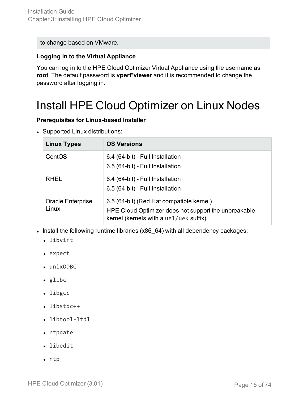to change based on VMware.

### **Logging in to the Virtual Appliance**

You can log in to the HPE Cloud Optimizer Virtual Appliance using the username as **root**. The default password is **vperf\*viewer** and it is recommended to change the password after logging in.

## <span id="page-14-0"></span>Install HPE Cloud Optimizer on Linux Nodes

### **Prerequisites for Linux-based Installer**

• Supported Linux distributions:

| <b>Linux Types</b>         | <b>OS Versions</b>                                                                                                                          |
|----------------------------|---------------------------------------------------------------------------------------------------------------------------------------------|
| CentOS                     | 6.4 (64-bit) - Full Installation<br>6.5 (64-bit) - Full Installation                                                                        |
| <b>RHEL</b>                | 6.4 (64-bit) - Full Installation<br>6.5 (64-bit) - Full Installation                                                                        |
| Oracle Enterprise<br>Linux | 6.5 (64-bit) (Red Hat compatible kernel)<br>HPE Cloud Optimizer does not support the unbreakable<br>kernel (kernels with a uel/uek suffix). |

- Install the following runtime libraries (x86\_64) with all dependency packages:
	- libvirt
	- expect
	- $\cdot$  unixODBC
	- $\bullet$  glibc
	- libgcc
	- libstdc++
	- libtool-ltdl
	- $\bullet$  ntpdate
	- libedit
	- $\cdot$  ntp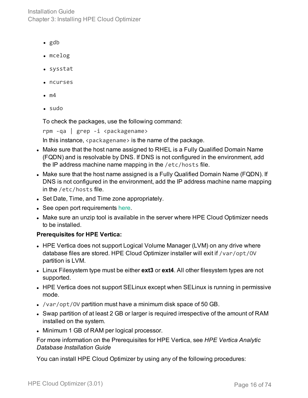Installation Guide Chapter 3: Installing HPE Cloud Optimizer

- $\bullet$  gdb
- mcelog
- sysstat
- ncurses
- $\bullet$  m4
- $\bullet$  sudo

To check the packages, use the following command:

rpm -qa | grep -i <packagename>

In this instance,  $\langle$  packagename  $\rangle$  is the name of the package.

- Make sure that the host name assigned to RHEL is a Fully Qualified Domain Name (FQDN) and is resolvable by DNS. If DNS is not configured in the environment, add the IP address machine name mapping in the /etc/hosts file.
- Make sure that the host name assigned is a Fully Qualified Domain Name (FQDN). If DNS is not configured in the environment, add the IP address machine name mapping in the /etc/hosts file.
- Set Date, Time, and Time zone appropriately.
- See open port requirements [here.](#page-10-1)
- Make sure an unzip tool is available in the server where HPE Cloud Optimizer needs to be installed.

### **Prerequisites for HPE Vertica:**

- HPE Vertica does not support Logical Volume Manager (LVM) on any drive where database files are stored. HPE Cloud Optimizer installer will exit if /var/opt/OV partition is LVM.
- Linux Filesystem type must be either **ext3** or **ext4**. All other filesystem types are not supported.
- HPE Vertica does not support SELinux except when SELinux is running in permissive mode.
- /var/opt/0V partition must have a minimum disk space of 50 GB.
- Swap partition of at least 2 GB or larger is required irrespective of the amount of RAM installed on the system.
- Minimum 1 GB of RAM per logical processor.

For more information on the Prerequisites for HPE Vertica, see *HPE Vertica Analytic Database Installation Guide*

You can install HPE Cloud Optimizer by using any of the following procedures: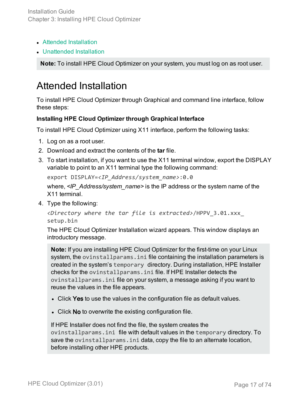- Attended [Installation](#page-16-0)
- [Unattended](#page-18-0) Installation

<span id="page-16-0"></span>**Note:** To install HPE Cloud Optimizer on your system, you must log on as root user.

### Attended Installation

To install HPE Cloud Optimizer through Graphical and command line interface, follow these steps:

### **Installing HPE Cloud Optimizer through Graphical Interface**

To install HPE Cloud Optimizer using X11 interface, perform the following tasks:

- 1. Log on as a root user.
- 2. Download and extract the contents of the **tar** file.
- 3. To start installation, if you want to use the X11 terminal window, export the DISPLAY variable to point to an X11 terminal type the following command:

export DISPLAY=*<IP\_Address/system\_name>*:0.0

where,  $\leq$ IP Address/system name> is the IP address or the system name of the X11 terminal.

4. Type the following:

```
<Directory where the tar file is extracted>/HPPV_3.01.xxx_
setup.bin
```
The HPE Cloud Optimizer Installation wizard appears. This window displays an introductory message.

**Note:** If you are installing HPE Cloud Optimizer for the first-time on your Linux system, the ovinstallparams.ini file containing the installation parameters is created in the system's temporary directory. During installation, HPE Installer checks for the ovinstallparams.ini file. If HPE Installer detects the ovinstallparams.ini file on your system, a message asking if you want to reuse the values in the file appears.

- Click Yes to use the values in the configuration file as default values.
- Click No to overwrite the existing configuration file.

If HPE Installer does not find the file, the system creates the ovinstallparams.ini file with default values in the temporary directory. To save the ovinstallparams.ini data, copy the file to an alternate location, before installing other HPE products.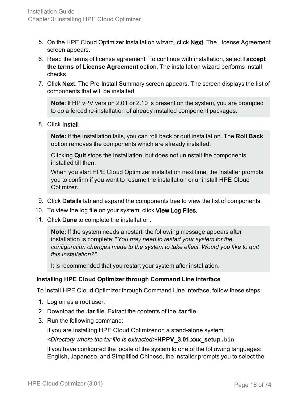- 5. On the HPE Cloud Optimizer Installation wizard, click Next. The License Agreement screen appears.
- 6. Read the terms of license agreement. To continue with installation, select **I accept the terms of License Agreement** option. The installation wizard performs install checks.
- 7. Click Next. The Pre-Install Summary screen appears. The screen displays the list of components that will be installed.

**Note**: If HP vPV version 2.01 or 2.10 is present on the system, you are prompted to do a forced re-installation of already installed component packages.

### 8. Click Install.

**Note:** If the installation fails, you can roll back or quit installation. The **Roll Back** option removes the components which are already installed.

Clicking **Quit** stops the installation, but does not uninstall the components installed till then.

When you start HPE Cloud Optimizer installation next time, the Installer prompts you to confirm if you want to resume the installation or uninstall HPE Cloud Optimizer.

- 9. Click Details tab and expand the components tree to view the list of components.
- 10. To view the log file on your system, click View Log Files.
- 11. Click Done to complete the installation.

**Note:** If the system needs a restart, the following message appears after installation is complete: "*You may need to restart your system for the configuration changes made to the system to take effect. Would you like to quit this installation?"*.

It is recommended that you restart your system after installation.

### **Installing HPE Cloud Optimizer through Command Line Interface**

To install HPE Cloud Optimizer through Command Line interface, follow these steps:

- 1. Log on as a root user.
- 2. Download the **.tar** file. Extract the contents of the **.tar** file.
- 3. Run the following command:

If you are installing HPE Cloud Optimizer on a stand-alone system:

*<Directory where the tar file is extracted>*/**HPPV\_3.01.xxx\_setup.bin**

If you have configured the locale of the system to one of the following languages: English, Japanese, and Simplified Chinese, the installer prompts you to select the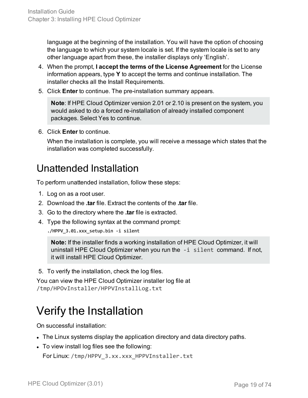language at the beginning of the installation. You will have the option of choosing the language to which your system locale is set. If the system locale is set to any other language apart from these, the installer displays only 'English'.

- 4. When the prompt, **I accept the terms of the License Agreement** for the License information appears, type **Y** to accept the terms and continue installation. The installer checks all the Install Requirements.
- 5. Click **Enter** to continue. The pre-installation summary appears.

**Note**: If HPE Cloud Optimizer version 2.01 or 2.10 is present on the system, you would asked to do a forced re-installation of already installed component packages. Select Yes to continue.

6. Click **Enter** to continue.

When the installation is complete, you will receive a message which states that the installation was completed successfully.

### <span id="page-18-0"></span>Unattended Installation

To perform unattended installation, follow these steps:

- 1. Log on as a root user.
- 2. Download the **.tar** file. Extract the contents of the **.tar** file.
- 3. Go to the directory where the **.tar** file is extracted.
- 4. Type the following syntax at the command prompt:

**./HPPV\_3.01.xxx\_setup.bin -i silent**

**Note:** If the installer finds a working installation of HPE Cloud Optimizer, it will uninstall HPE Cloud Optimizer when you run the -i silent command. If not, it will install HPE Cloud Optimizer.

5. To verify the installation, check the log files.

You can view the HPE Cloud Optimizer installer log file at /tmp/HPOvInstaller/HPPVInstallLog.txt

# <span id="page-18-1"></span>Verify the Installation

On successful installation:

- The Linux systems display the application directory and data directory paths.
- To view install log files see the following:

For Linux: /tmp/HPPV\_3.xx.xxx\_HPPVInstaller.txt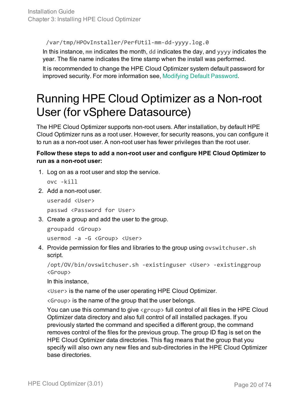/var/tmp/HPOvInstaller/PerfUtil-mm-dd-yyyy.log.0

In this instance, mm indicates the month, dd indicates the day, and yyyy indicates the year. The file name indicates the time stamp when the install was performed.

It is recommended to change the HPE Cloud Optimizer system default password for improved security. For more information see, Modifying Default [Password](#page-52-0).

# <span id="page-19-0"></span>Running HPE Cloud Optimizer as a Non-root User (for vSphere Datasource)

The HPE Cloud Optimizer supports non-root users. After installation, by default HPE Cloud Optimizer runs as a root user. However, for security reasons, you can configure it to run as a non-root user. A non-root user has fewer privileges than the root user.

### **Follow these steps to add a non-root user and configure HPE Cloud Optimizer to run as a non-root user:**

1. Log on as a root user and stop the service.

```
ovc -kill
```
2. Add a non-root user.

```
useradd <User>
```
passwd <Password for User>

3. Create a group and add the user to the group.

```
groupadd <Group>
```
usermod -a -G <Group> <User>

4. Provide permission for files and libraries to the group using ovswitchuser.sh script.

```
/opt/OV/bin/ovswitchuser.sh -existinguser <User> -existinggroup
<Group>
```
In this instance,

<User> is the name of the user operating HPE Cloud Optimizer.

<Group> is the name of the group that the user belongs.

You can use this command to give <group> full control of all files in the HPE Cloud Optimizer data directory and also full control of all installed packages. If you previously started the command and specified a different group, the command removes control of the files for the previous group. The group ID flag is set on the HPE Cloud Optimizer data directories. This flag means that the group that you specify will also own any new files and sub-directories in the HPE Cloud Optimizer base directories.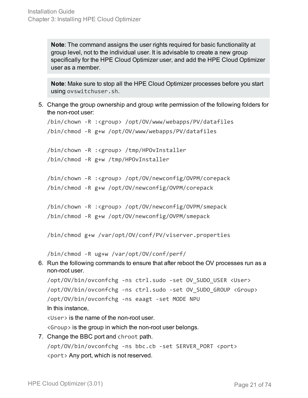**Note**: The command assigns the user rights required for basic functionality at group level, not to the individual user. It is advisable to create a new group specifically for the HPE Cloud Optimizer user, and add the HPE Cloud Optimizer user as a member.

**Note**: Make sure to stop all the HPE Cloud Optimizer processes before you start using ovswitchuser.sh.

5. Change the group ownership and group write permission of the following folders for the non-root user:

```
/bin/chown -R :<group> /opt/OV/www/webapps/PV/datafiles
/bin/chmod -R g+w /opt/OV/www/webapps/PV/datafiles
/bin/chown -R :<group> /tmp/HPOvInstaller
/bin/chmod -R g+w /tmp/HPOvInstaller
/bin/chown -R :<group> /opt/OV/newconfig/OVPM/corepack
/bin/chmod -R g+w /opt/OV/newconfig/OVPM/corepack
/bin/chown -R :<group> /opt/OV/newconfig/OVPM/smepack
/bin/chmod -R g+w /opt/OV/newconfig/OVPM/smepack
```
/bin/chmod g+w /var/opt/OV/conf/PV/viserver.properties

/bin/chmod -R ug+w /var/opt/OV/conf/perf/

6. Run the following commands to ensure that after reboot the OV processes run as a non-root user.

```
/opt/OV/bin/ovconfchg -ns ctrl.sudo -set OV_SUDO_USER <User>
/opt/OV/bin/ovconfchg -ns ctrl.sudo -set OV_SUDO_GROUP <Group>
/opt/OV/bin/ovconfchg -ns eaagt -set MODE NPU
In this instance,
<User> is the name of the non-root user.
```
<Group> is the group in which the non-root user belongs.

7. Change the BBC port and chroot path. /opt/OV/bin/ovconfchg -ns bbc.cb -set SERVER\_PORT <port> <port> Any port, which is not reserved.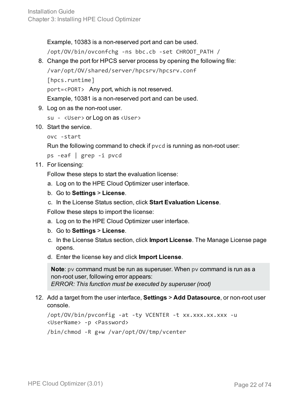Example, 10383 is a non-reserved port and can be used.

/opt/OV/bin/ovconfchg -ns bbc.cb -set CHROOT\_PATH /

8. Change the port for HPCS server process by opening the following file:

```
/var/opt/OV/shared/server/hpcsrv/hpcsrv.conf
```

```
[hpcs.runtime]
```
port=<PORT> Any port, which is not reserved.

Example, 10381 is a non-reserved port and can be used.

9. Log on as the non-root user.

```
su - <User> or Log on as <User>
```
10. Start the service.

```
ovc -start
```
Run the following command to check if pvcd is running as non-root user:

ps -eaf | grep -i pvcd

11. For licensing:

Follow these steps to start the evaluation license:

- a. Log on to the HPE Cloud Optimizer user interface.
- b. Go to **Settings** > **License**.
- c. In the License Status section, click **Start Evaluation License**.

Follow these steps to import the license:

- a. Log on to the HPE Cloud Optimizer user interface.
- b. Go to **Settings** > **License**.
- c. In the License Status section, click **Import License**. The Manage License page opens.
- d. Enter the license key and click **Import License**.

**Note**: pv command must be run as superuser. When pv command is run as a non-root user, following error appears: *ERROR: This function must be executed by superuser (root)*

12. Add a target from the user interface, **Settings** > **Add Datasource**, or non-root user console.

/opt/OV/bin/pvconfig -at -ty VCENTER -t xx.xxx.xx.xxx -u <UserName> -p <Password> /bin/chmod -R g+w /var/opt/OV/tmp/vcenter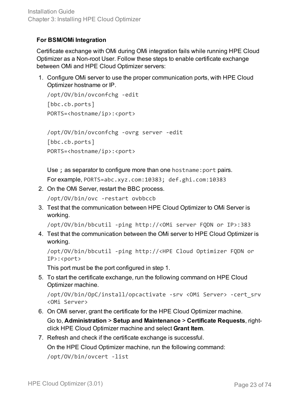### **For BSM/OMi Integration**

Certificate exchange with OMi during OMi integration fails while running HPE Cloud Optimizer as a Non-root User. Follow these steps to enable certificate exchange between OMi and HPE Cloud Optimizer servers:

1. Configure OMi server to use the proper communication ports, with HPE Cloud Optimizer hostname or IP.

```
/opt/OV/bin/ovconfchg -edit
[bbc.cb.ports]
PORTS=<hostname/ip>:<port>
```
/opt/OV/bin/ovconfchg -ovrg server -edit [bbc.cb.ports] PORTS=<hostname/ip>:<port>

Use ; as separator to configure more than one hostname:port pairs.

For example, PORTS=abc.xyz.com:10383; def.ghi.com:10383

2. On the OMi Server, restart the BBC process.

/opt/OV/bin/ovc -restart ovbbccb

3. Test that the communication between HPE Cloud Optimizer to OMi Server is working.

/opt/OV/bin/bbcutil -ping http://<OMi server FQDN or IP>:383

4. Test that the communication between the OMi server to HPE Cloud Optimizer is working.

```
/opt/OV/bin/bbcutil -ping http://<HPE Cloud Optimizer FQDN or
IP>:<port>
```
This port must be the port configured in step 1.

5. To start the certificate exchange, run the following command on HPE Cloud Optimizer machine.

/opt/OV/bin/OpC/install/opcactivate -srv <OMi Server> -cert\_srv <OMi Server>

6. On OMi server, grant the certificate for the HPE Cloud Optimizer machine.

Go to, **Administration** > **Setup and Maintenance** > **Certificate Requests**, rightclick HPE Cloud Optimizer machine and select **Grant Item**.

7. Refresh and check if the certificate exchange is successful.

On the HPE Cloud Optimizer machine, run the following command:

/opt/OV/bin/ovcert -list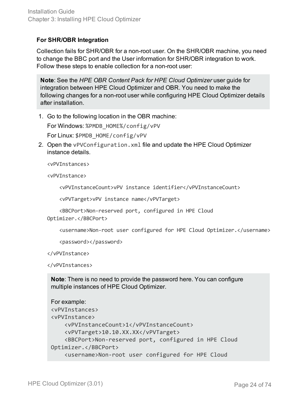### **For SHR/OBR Integration**

Collection fails for SHR/OBR for a non-root user. On the SHR/OBR machine, you need to change the BBC port and the User information for SHR/OBR integration to work. Follow these steps to enable collection for a non-root user:

**Note**: See the *HPE OBR Content Pack for HPE Cloud Optimizer* user guide for integration between HPE Cloud Optimizer and OBR. You need to make the following changes for a non-root user while configuring HPE Cloud Optimizer details after installation.

1. Go to the following location in the OBR machine:

For Windows: %PMDB\_HOME%/config/vPV

For Linux: \$PMDB\_HOME/config/vPV

2. Open the vPVConfiguration.xml file and update the HPE Cloud Optimizer instance details.

<vPVInstances>

<vPVInstance>

<vPVInstanceCount>vPV instance identifier</vPVInstanceCount>

<vPVTarget>vPV instance name</vPVTarget>

```
    <BBCPort>Non-reserved port, configured in HPE Cloud
Optimizer.</BBCPort>
```
<username>Non-root user configured for HPE Cloud Optimizer.</username>

<password></password>

</vPVInstance>

</vPVInstances>

**Note**: There is no need to provide the password here. You can configure multiple instances of HPE Cloud Optimizer.

```
For example:
<vPVInstances>
<vPVInstance>
        <vPVInstanceCount>1</vPVInstanceCount>
        <vPVTarget>10.10.XX.XX</vPVTarget>
        <BBCPort>Non-reserved port, configured in HPE Cloud
Optimizer.</BBCPort>
        <username>Non-root user configured for HPE Cloud
```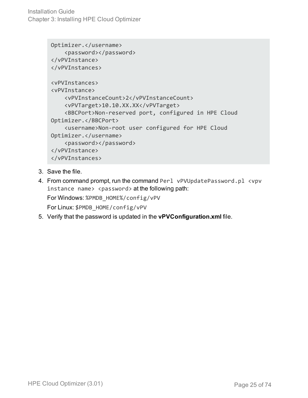Installation Guide Chapter 3: Installing HPE Cloud Optimizer

```
Optimizer.</username>
        <password></password>
</vPVInstance>
</vPVInstances>
<vPVInstances>
<vPVInstance>
        <vPVInstanceCount>2</vPVInstanceCount>
        <vPVTarget>10.10.XX.XX</vPVTarget>
        <BBCPort>Non-reserved port, configured in HPE Cloud
Optimizer.</BBCPort>
        <username>Non-root user configured for HPE Cloud
Optimizer.</username>
        <password></password>
</vPVInstance>
</vPVInstances>
```
- 3. Save the file.
- 4. From command prompt, run the command Perl vPVUpdatePassword.pl <vpv instance name> <password> at the following path: For Windows: %PMDB\_HOME%/config/vPV For Linux: \$PMDB\_HOME/config/vPV
- 5. Verify that the password is updated in the **vPVConfiguration.xml** file.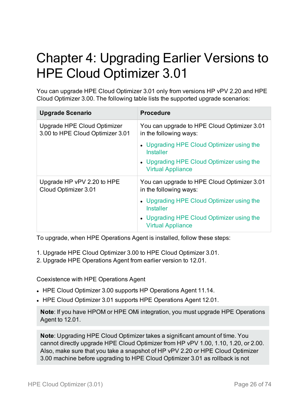# <span id="page-25-0"></span>Chapter 4: Upgrading Earlier Versions to HPE Cloud Optimizer 3.01

You can upgrade HPE Cloud Optimizer 3.01 only from versions HP vPV 2.20 and HPE Cloud Optimizer 3.00. The following table lists the supported upgrade scenarios:

| <b>Upgrade Scenario</b>                                         | <b>Procedure</b>                                                      |
|-----------------------------------------------------------------|-----------------------------------------------------------------------|
| Upgrade HPE Cloud Optimizer<br>3.00 to HPE Cloud Optimizer 3.01 | You can upgrade to HPE Cloud Optimizer 3.01<br>in the following ways: |
|                                                                 | • Upgrading HPE Cloud Optimizer using the<br>Installer                |
|                                                                 | • Upgrading HPE Cloud Optimizer using the<br><b>Virtual Appliance</b> |
| Upgrade HP vPV 2.20 to HPE<br>Cloud Optimizer 3.01              | You can upgrade to HPE Cloud Optimizer 3.01<br>in the following ways: |
|                                                                 | • Upgrading HPE Cloud Optimizer using the<br><b>Installer</b>         |
|                                                                 | • Upgrading HPE Cloud Optimizer using the<br><b>Virtual Appliance</b> |

To upgrade, when HPE Operations Agent is installed, follow these steps:

- 1. Upgrade HPE Cloud Optimizer 3.00 to HPE Cloud Optimizer 3.01.
- 2. Upgrade HPE Operations Agent from earlier version to 12.01.

Coexistence with HPE Operations Agent

- HPE Cloud Optimizer 3.00 supports HP Operations Agent 11.14.
- HPE Cloud Optimizer 3.01 supports HPE Operations Agent 12.01.

**Note**: If you have HPOM or HPE OMi integration, you must upgrade HPE Operations Agent to 12.01.

**Note**: Upgrading HPE Cloud Optimizer takes a significant amount of time. You cannot directly upgrade HPE Cloud Optimizer from HP vPV 1.00, 1.10, 1.20, or 2.00. Also, make sure that you take a snapshot of HP vPV 2.20 or HPE Cloud Optimizer 3.00 machine before upgrading to HPE Cloud Optimizer 3.01 as rollback is not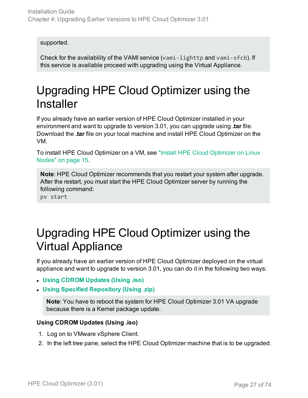supported.

Check for the availability of the VAMI service (vami-lighttp and vami-sfcb). If this service is available proceed with upgrading using the Virtual Appliance.

## <span id="page-26-0"></span>Upgrading HPE Cloud Optimizer using the **Installer**

If you already have an earlier version of HPE Cloud Optimizer installed in your environment and want to upgrade to version 3.01, you can upgrade using **.tar** file. Download the **.tar** file on your local machine and install HPE Cloud Optimizer on the VM.

To install HPE Cloud Optimizer on a VM, see "Install HPE Cloud [Optimizer](#page-14-0) on Linux Nodes" on [page 15.](#page-14-0)

**Note**: HPE Cloud Optimizer recommends that you restart your system after upgrade. After the restart, you must start the HPE Cloud Optimizer server by running the following command:

pv start

## <span id="page-26-1"></span>Upgrading HPE Cloud Optimizer using the Virtual Appliance

If you already have an earlier version of HPE Cloud Optimizer deployed on the virtual appliance and want to upgrade to version 3.01, you can do it in the following two ways:

- <sup>l</sup> **Using CDROM [Updates](#page-26-2) (Using .iso)**
- <sup>l</sup> **Using Specified [Repository](#page-27-0) (Using .zip)**

**Note**: You have to reboot the system for HPE Cloud Optimizer 3.01 VA upgrade because there is a Kernel package update.

### <span id="page-26-2"></span>**Using CDROM Updates (Using .iso)**

- 1. Log on to VMware vSphere Client.
- 2. In the left tree pane, select the HPE Cloud Optimizer machine that is to be upgraded.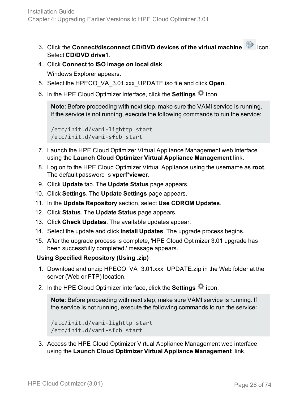- 3. Click the **Connect/disconnect CD/DVD devices of the virtual machine** icon. Select **CD/DVD drive1**.
- 4. Click **Connect to ISO image on local disk**.

Windows Explorer appears.

- 5. Select the HPECO\_VA\_3.01.xxx\_UPDATE.iso file and click **Open**.
- 6. In the HPE Cloud Optimizer interface, click the **Settings** icon.

**Note**: Before proceeding with next step, make sure the VAMI service is running. If the service is not running, execute the following commands to run the service:

```
/etc/init.d/vami-lighttp start
/etc/init.d/vami-sfcb start
```
- 7. Launch the HPE Cloud Optimizer Virtual Appliance Management web interface using the **Launch Cloud Optimizer Virtual Appliance Management** link.
- 8. Log on to the HPE Cloud Optimizer Virtual Appliance using the username as **root**. The default password is **vperf\*viewer**.
- 9. Click **Update** tab. The **Update Status** page appears.
- 10. Click **Settings**. The **Update Settings** page appears.
- 11. In the **Update Repository** section, select **Use CDROM Updates**.
- 12. Click **Status**. The **Update Status** page appears.
- 13. Click **Check Updates**. The available updates appear.
- 14. Select the update and click **Install Updates**. The upgrade process begins.
- 15. After the upgrade process is complete, 'HPE Cloud Optimizer 3.01 upgrade has been successfully completed.' message appears.

### <span id="page-27-0"></span>**Using Specified Repository (Using .zip)**

- 1. Download and unzip HPECO\_VA\_3.01.xxx\_UPDATE.zip in the Web folder at the server (Web or FTP) location.
- 2. In the HPE Cloud Optimizer interface, click the **Settings**  $\ddot{\bullet}$  icon.

**Note**: Before proceeding with next step, make sure VAMI service is running. If the service is not running, execute the following commands to run the service:

```
/etc/init.d/vami-lighttp start
/etc/init.d/vami-sfcb start
```
3. Access the HPE Cloud Optimizer Virtual Appliance Management web interface using the **Launch Cloud Optimizer Virtual Appliance Management** link.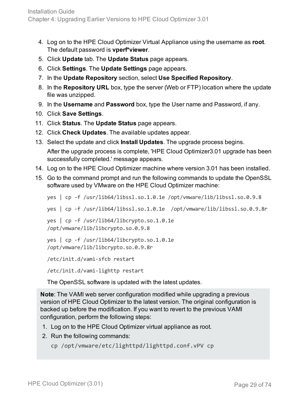- 4. Log on to the HPE Cloud Optimizer Virtual Appliance using the username as **root**. The default password is **vperf\*viewer**.
- 5. Click **Update** tab. The **Update Status** page appears.
- 6. Click **Settings**. The **Update Settings** page appears.
- 7. In the **Update Repository** section, select **Use Specified Repository**.
- 8. In the **Repository URL** box, type the server (Web or FTP) location where the update file was unzipped.
- 9. In the **Username** and **Password** box, type the User name and Password, if any.
- 10. Click **Save Settings**.
- 11. Click **Status**. The **Update Status** page appears.
- 12. Click **Check Updates**. The available updates appear.
- 13. Select the update and click **Install Updates**. The upgrade process begins. After the upgrade process is complete, 'HPE Cloud Optimizer3.01 upgrade has been successfully completed.' message appears.
- 14. Log on to the HPE Cloud Optimizer machine where version 3.01 has been installed.
- 15. Go to the command prompt and run the following commands to update the OpenSSL software used by VMware on the HPE Cloud Optimizer machine:

```
yes | cp -f /usr/lib64/libssl.so.1.0.1e /opt/vmware/lib/libssl.so.0.9.8
yes | cp -f /usr/lib64/libssl.so.1.0.1e /opt/vmware/lib/libssl.so.0.9.8r
yes | cp -f /usr/lib64/libcrypto.so.1.0.1e
/opt/vmware/lib/libcrypto.so.0.9.8
yes | cp -f /usr/lib64/libcrypto.so.1.0.1e
```

```
/opt/vmware/lib/libcrypto.so.0.9.8r
```
/etc/init.d/vami-sfcb restart

/etc/init.d/vami-lighttp restart

The OpenSSL software is updated with the latest updates.

**Note**: The VAMI web server configuration modified while upgrading a previous version of HPE Cloud Optimizer to the latest version. The original configuration is backed up before the modification. If you want to revert to the previous VAMI configuration, perform the following steps:

- 1. Log on to the HPE Cloud Optimizer virtual appliance as root.
- 2. Run the following commands:

```
cp /opt/vmware/etc/lighttpd/lighttpd.conf.vPV cp
```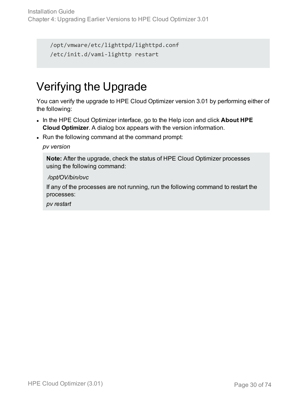```
/opt/vmware/etc/lighttpd/lighttpd.conf
/etc/init.d/vami-lighttp restart
```
# <span id="page-29-0"></span>Verifying the Upgrade

You can verify the upgrade to HPE Cloud Optimizer version 3.01 by performing either of the following:

- <sup>l</sup> In the HPE Cloud Optimizer interface, go to the Help icon and click **About HPE Cloud Optimizer**. A dialog box appears with the version information.
- Run the following command at the command prompt:

### *pv version*

**Note:** After the upgrade, check the status of HPE Cloud Optimizer processes using the following command:

### */opt/OV/bin/ovc*

If any of the processes are not running, run the following command to restart the processes:

*pv restart*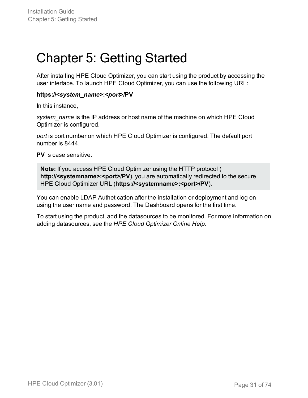# <span id="page-30-0"></span>Chapter 5: Getting Started

After installing HPE Cloud Optimizer, you can start using the product by accessing the user interface. To launch HPE Cloud Optimizer, you can use the following URL:

### **https://<***system\_name***>:<***port***>/PV**

In this instance,

*system\_name* is the IP address or host name of the machine on which HPE Cloud Optimizer is configured.

*port* is port number on which HPE Cloud Optimizer is configured. The default port number is 8444.

**PV** is case sensitive.

**Note:** If you access HPE Cloud Optimizer using the HTTP protocol ( http://<systemname>:<port>/PV), you are automatically redirected to the secure HPE Cloud Optimizer URL (**https://<systemname>:<port>/PV**).

You can enable LDAP Authetication after the installation or deployment and log on using the user name and password. The Dashboard opens for the first time.

To start using the product, add the datasources to be monitored. For more information on adding datasources, see the *HPE Cloud Optimizer Online Help*.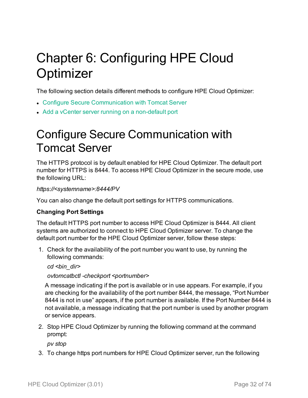# <span id="page-31-0"></span>Chapter 6: Configuring HPE Cloud **Optimizer**

The following section details different methods to configure HPE Cloud Optimizer:

- Configure Secure [Communication](#page-31-1) with Tomcat Server
- <span id="page-31-1"></span>• Add a vCenter server running on a [non-default](#page-33-0) port

## Configure Secure Communication with Tomcat Server

The HTTPS protocol is by default enabled for HPE Cloud Optimizer. The default port number for HTTPS is 8444. To access HPE Cloud Optimizer in the secure mode, use the following URL:

### *https://<systemname>:8444/PV*

You can also change the default port settings for HTTPS communications.

### **Changing Port Settings**

The default HTTPS port number to access HPE Cloud Optimizer is 8444. All client systems are authorized to connect to HPE Cloud Optimizer server. To change the default port number for the HPE Cloud Optimizer server, follow these steps:

1. Check for the availability of the port number you want to use, by running the following commands:

*cd <bin\_dir>*

*ovtomcatbctl -checkport <portnumber>*

A message indicating if the port is available or in use appears. For example, if you are checking for the availability of the port number 8444, the message, "Port Number 8444 is not in use" appears, if the port number is available. If the Port Number 8444 is not available, a message indicating that the port number is used by another program or service appears.

2. Stop HPE Cloud Optimizer by running the following command at the command prompt:

*pv stop*

3. To change https port numbers for HPE Cloud Optimizer server, run the following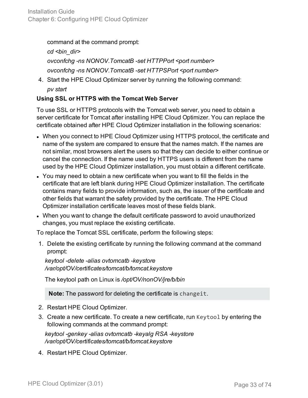command at the command prompt:

*cd <bin\_dir> ovconfchg -ns NONOV.TomcatB -set HTTPPort <port number> ovconfchg -ns NONOV.TomcatB -set HTTPSPort <port number>*

4. Start the HPE Cloud Optimizer server by running the following command: *pv start*

### **Using SSL or HTTPS with the Tomcat Web Server**

To use SSL or HTTPS protocols with the Tomcat web server, you need to obtain a server certificate for Tomcat after installing HPE Cloud Optimizer. You can replace the certificate obtained after HPE Cloud Optimizer installation in the following scenarios:

- When you connect to HPE Cloud Optimizer using HTTPS protocol, the certificate and name of the system are compared to ensure that the names match. If the names are not similar, most browsers alert the users so that they can decide to either continue or cancel the connection. If the name used by HTTPS users is different from the name used by the HPE Cloud Optimizer installation, you must obtain a different certificate.
- You may need to obtain a new certificate when you want to fill the fields in the certificate that are left blank during HPE Cloud Optimizer installation. The certificate contains many fields to provide information, such as, the issuer of the certificate and other fields that warrant the safety provided by the certificate. The HPE Cloud Optimizer installation certificate leaves most of these fields blank.
- When you want to change the default certificate password to avoid unauthorized changes, you must replace the existing certificate.

To replace the Tomcat SSL certificate, perform the following steps:

1. Delete the existing certificate by running the following command at the command prompt:

*keytool -delete -alias ovtomcatb -keystore /var/opt/OV/certificates/tomcat/b/tomcat.keystore*

The keytool path on Linux is */opt/OV/nonOV/jre/b/bin*

**Note:** The password for deleting the certificate is changeit.

- 2. Restart HPE Cloud Optimizer.
- 3. Create a new certificate. To create a new certificate, run Keytool by entering the following commands at the command prompt:

*keytool -genkey -alias ovtomcatb -keyalg RSA -keystore /var/opt/OV/certificates/tomcat/b/tomcat.keystore*

4. Restart HPE Cloud Optimizer.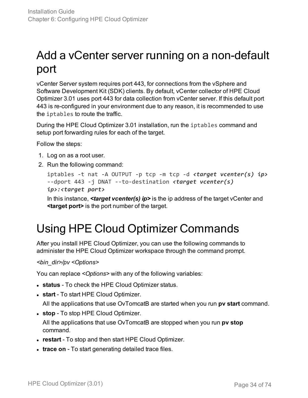# <span id="page-33-0"></span>Add a vCenter server running on a non-default port

vCenter Server system requires port 443, for connections from the vSphere and Software Development Kit (SDK) clients. By default, vCenter collector of HPE Cloud Optimizer 3.01 uses port 443 for data collection from vCenter server. If this default port 443 is re-configured in your environment due to any reason, it is recommended to use the iptables to route the traffic.

During the HPE Cloud Optimizer 3.01 installation, run the iptables command and setup port forwarding rules for each of the target.

Follow the steps:

- 1. Log on as a root user.
- 2. Run the following command:

```
iptables -t nat -A OUTPUT -p tcp -m tcp -d <target vcenter(s) ip>
--dport 443 -j DNAT --to-destination <target vcenter(s)
ip>:<target port>
```
In this instance, *<target vcenter(s) ip>* is the ip address of the target vCenter and **<target port>** is the port number of the target.

# <span id="page-33-1"></span>Using HPE Cloud Optimizer Commands

After you install HPE Cloud Optimizer, you can use the following commands to administer the HPE Cloud Optimizer workspace through the command prompt.

*<bin\_dir>/pv <Options>*

You can replace *<Options>* with any of the following variables:

- **status** To check the HPE Cloud Optimizer status.
- **start** To start HPE Cloud Optimizer.

All the applications that use OvTomcatB are started when you run **pv start** command.

**. stop** - To stop HPE Cloud Optimizer.

All the applications that use OvTomcatB are stopped when you run **pv stop** command.

- **restart** To stop and then start HPE Cloud Optimizer.
- **trace on** To start generating detailed trace files.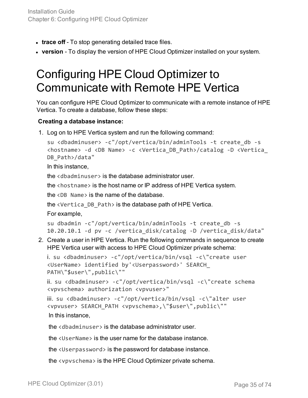- **trace off** To stop generating detailed trace files.
- <span id="page-34-0"></span>**• version** - To display the version of HPE Cloud Optimizer installed on your system.

# Configuring HPE Cloud Optimizer to Communicate with Remote HPE Vertica

You can configure HPE Cloud Optimizer to communicate with a remote instance of HPE Vertica. To create a database, follow these steps:

### **Creating a database instance:**

1. Log on to HPE Vertica system and run the following command:

```
su <dbadminuser> -c"/opt/vertica/bin/adminTools -t create_db -s
<hostname> -d <DB Name> -c <Vertica_DB_Path>/catalog -D <Vertica_
DB_Path>/data"
```
In this instance,

the <dbadminuser> is the database administrator user.

the <hostname> is the host name or IP address of HPE Vertica system.

the  $\langle$ DB Name> is the name of the database.

the <Vertica\_DB\_Path> is the database path of HPE Vertica.

For example,

```
su dbadmin -c"/opt/vertica/bin/adminTools -t create_db -s
10.20.10.1 -d pv -c /vertica_disk/catalog -D /vertica_disk/data"
```
2. Create a user in HPE Vertica. Run the following commands in sequence to create HPE Vertica user with access to HPE Cloud Optimizer private schema:

```
i. su <dbadminuser> -c"/opt/vertica/bin/vsql -c\"create user
<UserName> identified by'<Userpassword>' SEARCH_
PATH\"$user\",public\""
```
ii. su <dbadminuser> -c"/opt/vertica/bin/vsql -c\"create schema <vpvschema> authorization <vpvuser>"

```
iii.  su <dbadminuser> -c"/opt/vertica/bin/vsql -c\"alter user
<vpvuser> SEARCH_PATH <vpvschema>,\"$user\",public\""
In this instance,
```
the <dbadminuser> is the database administrator user.

the <UserName> is the user name for the database instance.

the <Userpassword> is the password for database instance.

the <vpvschema> is the HPE Cloud Optimizer private schema.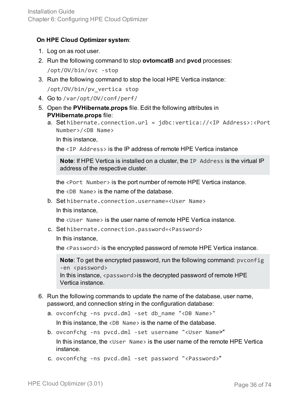### **On HPE Cloud Optimizer system**:

- 1. Log on as root user.
- 2. Run the following command to stop **ovtomcatB** and **pvcd** processes: /opt/OV/bin/ovc -stop
- 3. Run the following command to stop the local HPE Vertica instance: /opt/OV/bin/pv\_vertica stop
- 4. Go to /var/opt/OV/conf/perf/
- 5. Open the **PVHibernate.props** file. Edit the following attributes in **PVHibernate.props** file:
	- a. Set hibernate.connection.url = jdbc:vertica://<IP Address>:<Port Number>/<DB Name>

In this instance,

the <IP Address> is the IP address of remote HPE Vertica instance

**Note**: If HPE Vertica is installed on a cluster, the IP Address is the virtual IP address of the respective cluster.

the <Port Number> is the port number of remote HPE Vertica instance.

the <DB Name> is the name of the database.

b. Set hibernate.connection.username=<User Name> In this instance,

the <User Name> is the user name of remote HPE Vertica instance.

c. Set hibernate.connection.password=<Password>

In this instance,

the <Password> is the encrypted password of remote HPE Vertica instance.

**Note**: To get the encrypted password, run the following command: pvconfig -en <password> In this instance,  $\langle$  password $\rangle$  is the decrypted password of remote HPE Vertica instance.

- 6. Run the following commands to update the name of the database, user name, password, and connection string in the configuration database:
	- a. ovconfchg -ns pvcd.dml -set db\_name "<DB Name>"

In this instance, the  $\langle DB \rangle$  Name is the name of the database.

- b. ovconfchg -ns pvcd.dml -set username "<User Name>" In this instance, the <User Name> is the user name of the remote HPE Vertica instance.
- c. ovconfchg -ns pvcd.dml -set password "<Password>"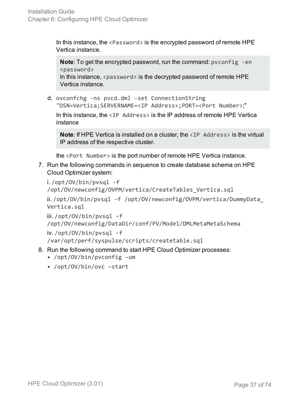In this instance, the  $\langle$  Password $\rangle$  is the encrypted password of remote HPE Vertica instance.

**Note:** To get the encrypted password, run the command: pyconfig -en <password> In this instance,  $\langle$  password $\rangle$  is the decrypted password of remote HPE Vertica instance.

d. ovconfchg -ns pvcd.dml -set ConnectionString "DSN=Vertica;SERVERNAME=<IP Address>;PORT=<Port Number>;"

In this instance, the  $\langle IP \rangle$  Address is the IP address of remote HPE Vertica instance

**Note:** If HPE Vertica is installed on a cluster, the <IP Address> is the virtual IP address of the respective cluster.

the <Port Number> is the port number of remote HPE Vertica instance.

7. Run the following commands in sequence to create database schema on HPE Cloud Optimizer system:

```
i. /opt/OV/bin/pvsql -f
/opt/OV/newconfig/OVPM/vertica/CreateTables_Vertica.sql
```

```
ii. /opt/OV/bin/pvsql -f /opt/OV/newconfig/OVPM/vertica/DummyData_
Vertica.sql
```
iii. /opt/OV/bin/pvsql -f

/opt/OV/newconfig/DataDir/conf/PV/Model/DMLMetaMetaSchema

iv. /opt/OV/bin/pvsql -f

/var/opt/perf/syspulse/scripts/createtable.sql

- 8. Run the following command to start HPE Cloud Optimizer processes:
	- /opt/OV/bin/pvconfig –um
	- /opt/OV/bin/ovc –start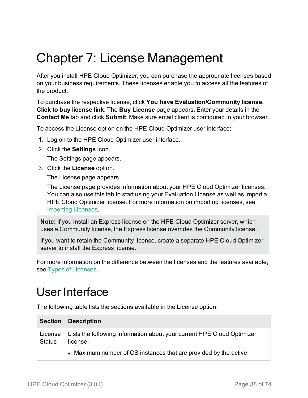# Chapter 7: License Management

After you install HPE Cloud Optimizer, you can purchase the appropriate licenses based on your business requirements. These licenses enable you to access all the features of the product.

To purchase the respective license, click **You have Evaluation/Community license. Click to buy license link.** The **Buy License** page appears. Enter your details in the **Contact Me** tab and click **Submit**. Make sure email client is configured in your browser.

To access the License option on the HPE Cloud Optimizer user interface:

- 1. Log on to the HPE Cloud Optimizer user interface.
- 2. Click the **Settings** icon.

The Settings page appears.

3. Click the **License** option.

The License page appears.

The License page provides information about your HPE Cloud Optimizer licenses. You can also use this tab to start using your Evaluation License as well as import a HPE Cloud Optimizer license. For more information on importing licenses, see [Importing](#page-44-0) Licenses.

**Note:** If you install an Express license on the HPE Cloud Optimizer server, which uses a Community license, the Express license overrides the Community license.

If you want to retain the Community license, create a separate HPE Cloud Optimizer server to install the Express license.

For more information on the difference between the licenses and the features available, see Types of [Licenses](#page-38-0).

### User Interface

The following table lists the sections available in the License option:

| <b>Section</b>           | <b>Description</b>                                                                 |
|--------------------------|------------------------------------------------------------------------------------|
| License<br><b>Status</b> | Lists the following information about your current HPE Cloud Optimizer<br>license: |
|                          | • Maximum number of OS instances that are provided by the active                   |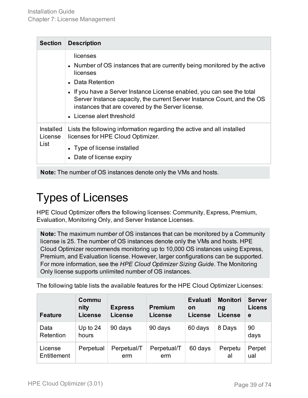| <b>Section</b>               | <b>Description</b>                                                                                                                                                                                                                                                                                                                                           |
|------------------------------|--------------------------------------------------------------------------------------------------------------------------------------------------------------------------------------------------------------------------------------------------------------------------------------------------------------------------------------------------------------|
|                              | licenses<br>• Number of OS instances that are currently being monitored by the active<br>licenses<br>• Data Retention<br>• If you have a Server Instance License enabled, you can see the total<br>Server Instance capacity, the current Server Instance Count, and the OS<br>instances that are covered by the Server license.<br>• License alert threshold |
| Installed<br>License<br>List | Lists the following information regarding the active and all installed<br>licenses for HPE Cloud Optimizer.<br>• Type of license installed<br>• Date of license expiry                                                                                                                                                                                       |

<span id="page-38-0"></span>**Note:** The number of OS instances denote only the VMs and hosts.

### Types of Licenses

HPE Cloud Optimizer offers the following licenses: Community, Express, Premium, Evaluation, Monitoring Only, and Server Instance Licenses.

**Note:** The maximum number of OS instances that can be monitored by a Community license is 25. The number of OS instances denote only the VMs and hosts. HPE Cloud Optimizer recommends monitoring up to 10,000 OS instances using Express, Premium, and Evaluation license. However, larger configurations can be supported. For more information, see the *HPE Cloud Optimizer Sizing Guide*. The Monitoring Only license supports unlimited number of OS instances.

The following table lists the available features for the HPE Cloud Optimizer Licenses:

| <b>Feature</b>         | Commu<br>nity<br><b>License</b> | <b>Express</b><br><b>License</b> | <b>Premium</b><br><b>License</b> | <b>Evaluati</b><br>on<br>License | <b>Monitori</b><br>na<br>License | <b>Server</b><br><b>Licens</b><br>e |
|------------------------|---------------------------------|----------------------------------|----------------------------------|----------------------------------|----------------------------------|-------------------------------------|
| Data<br>Retention      | Up to $24$<br>hours             | 90 days                          | 90 days                          | 60 days                          | 8 Days                           | 90<br>days                          |
| License<br>Entitlement | Perpetual                       | Perpetual/T<br>erm               | Perpetual/T<br>erm               | 60 days                          | Perpetu<br>al                    | Perpet<br>ual                       |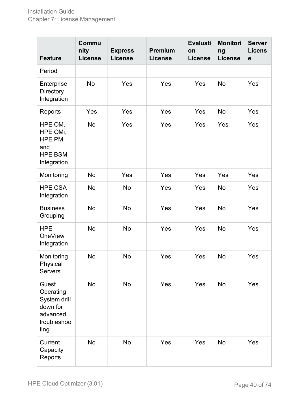| <b>Feature</b>                                                                    | Commu<br>nity<br><b>License</b> | <b>Express</b><br><b>License</b> | <b>Premium</b><br><b>License</b> | <b>Evaluati</b><br>on<br><b>License</b> | <b>Monitori</b><br>ng<br><b>License</b> | <b>Server</b><br><b>Licens</b><br>$\mathbf e$ |
|-----------------------------------------------------------------------------------|---------------------------------|----------------------------------|----------------------------------|-----------------------------------------|-----------------------------------------|-----------------------------------------------|
| Period                                                                            |                                 |                                  |                                  |                                         |                                         |                                               |
| Enterprise<br>Directory<br>Integration                                            | <b>No</b>                       | Yes                              | Yes                              | Yes                                     | <b>No</b>                               | Yes                                           |
| Reports                                                                           | Yes                             | Yes                              | Yes                              | Yes                                     | <b>No</b>                               | Yes                                           |
| HPE OM,<br>HPE OMi,<br><b>HPE PM</b><br>and<br><b>HPE BSM</b><br>Integration      | No                              | Yes                              | Yes                              | Yes                                     | Yes                                     | Yes                                           |
| Monitoring                                                                        | <b>No</b>                       | Yes                              | Yes                              | Yes                                     | Yes                                     | Yes                                           |
| <b>HPE CSA</b><br>Integration                                                     | <b>No</b>                       | <b>No</b>                        | Yes                              | Yes                                     | <b>No</b>                               | Yes                                           |
| <b>Business</b><br>Grouping                                                       | <b>No</b>                       | <b>No</b>                        | Yes                              | Yes                                     | <b>No</b>                               | Yes                                           |
| <b>HPE</b><br><b>OneView</b><br>Integration                                       | <b>No</b>                       | <b>No</b>                        | Yes                              | Yes                                     | <b>No</b>                               | Yes                                           |
| Monitoring<br>Physical<br><b>Servers</b>                                          | <b>No</b>                       | <b>No</b>                        | Yes                              | Yes                                     | <b>No</b>                               | Yes                                           |
| Guest<br>Operating<br>System drill<br>down for<br>advanced<br>troubleshoo<br>ting | No                              | <b>No</b>                        | Yes                              | Yes                                     | <b>No</b>                               | Yes                                           |
| Current<br>Capacity<br>Reports                                                    | No                              | <b>No</b>                        | Yes                              | Yes                                     | <b>No</b>                               | Yes                                           |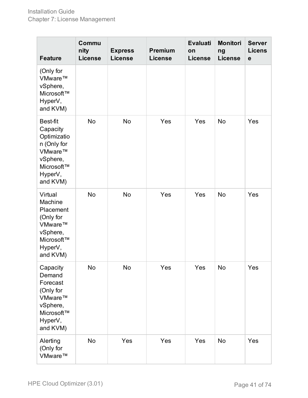| <b>Feature</b>                                                                                                 | Commu<br>nity<br><b>License</b> | <b>Express</b><br><b>License</b> | <b>Premium</b><br><b>License</b> | <b>Evaluati</b><br>on<br><b>License</b> | <b>Monitori</b><br>ng<br><b>License</b> | <b>Server</b><br><b>Licens</b><br>$\mathbf e$ |
|----------------------------------------------------------------------------------------------------------------|---------------------------------|----------------------------------|----------------------------------|-----------------------------------------|-----------------------------------------|-----------------------------------------------|
| (Only for<br>VMware™<br>vSphere,<br>Microsoft™<br>HyperV,<br>and KVM)                                          |                                 |                                  |                                  |                                         |                                         |                                               |
| Best-fit<br>Capacity<br>Optimizatio<br>n (Only for<br>VMware™<br>vSphere,<br>Microsoft™<br>HyperV,<br>and KVM) | <b>No</b>                       | <b>No</b>                        | Yes                              | Yes                                     | <b>No</b>                               | Yes                                           |
| Virtual<br>Machine<br>Placement<br>(Only for<br>VMware™<br>vSphere,<br>Microsoft™<br>HyperV,<br>and KVM)       | <b>No</b>                       | <b>No</b>                        | Yes                              | Yes                                     | <b>No</b>                               | Yes                                           |
| Capacity<br>Demand<br>Forecast<br>(Only for<br>VMware™<br>vSphere,<br>Microsoft™<br>HyperV,<br>and KVM)        | No                              | No                               | Yes                              | Yes                                     | <b>No</b>                               | Yes                                           |
| Alerting<br>(Only for<br>VMware™                                                                               | No                              | Yes                              | Yes                              | Yes                                     | <b>No</b>                               | Yes                                           |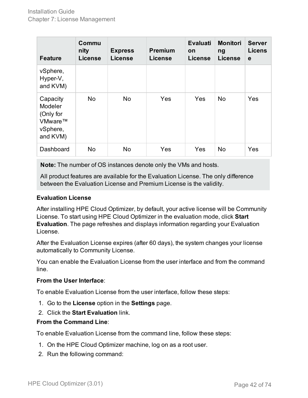| <b>Feature</b>                                                      | Commu<br>nity<br><b>License</b> | <b>Express</b><br><b>License</b> | <b>Premium</b><br><b>License</b> | <b>Evaluati</b><br>on<br><b>License</b> | <b>Monitori</b><br>ng<br><b>License</b> | <b>Server</b><br><b>Licens</b><br>e |
|---------------------------------------------------------------------|---------------------------------|----------------------------------|----------------------------------|-----------------------------------------|-----------------------------------------|-------------------------------------|
| vSphere,<br>Hyper-V,<br>and KVM)                                    |                                 |                                  |                                  |                                         |                                         |                                     |
| Capacity<br>Modeler<br>(Only for<br>VMware™<br>vSphere,<br>and KVM) | No                              | <b>No</b>                        | Yes                              | Yes                                     | <b>No</b>                               | Yes                                 |
| Dashboard                                                           | No.                             | <b>No</b>                        | Yes                              | Yes                                     | <b>No</b>                               | Yes                                 |

**Note:** The number of OS instances denote only the VMs and hosts.

All product features are available for the Evaluation License. The only difference between the Evaluation License and Premium License is the validity.

#### **Evaluation License**

After installing HPE Cloud Optimizer, by default, your active license will be Community License. To start using HPE Cloud Optimizer in the evaluation mode, click **Start Evaluation**. The page refreshes and displays information regarding your Evaluation License.

After the Evaluation License expires (after 60 days), the system changes your license automatically to Community License.

You can enable the Evaluation License from the user interface and from the command line.

#### **From the User Interface**:

To enable Evaluation License from the user interface, follow these steps:

- 1. Go to the **License** option in the **Settings** page.
- 2. Click the **Start Evaluation** link.

#### **From the Command Line**:

To enable Evaluation License from the command line, follow these steps:

- 1. On the HPE Cloud Optimizer machine, log on as a root user.
- 2. Run the following command: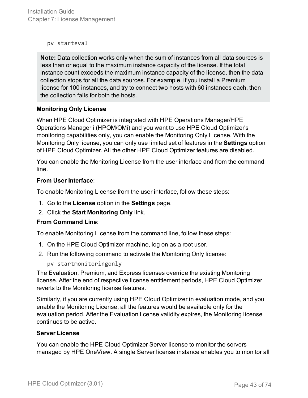Installation Guide Chapter 7: License Management

pv starteval

**Note:** Data collection works only when the sum of instances from all data sources is less than or equal to the maximum instance capacity of the license. If the total instance count exceeds the maximum instance capacity of the license, then the data collection stops for all the data sources. For example, if you install a Premium license for 100 instances, and try to connect two hosts with 60 instances each, then the collection fails for both the hosts.

#### **Monitoring Only License**

When HPE Cloud Optimizer is integrated with HPE Operations Manager/HPE Operations Manager i (HPOM/OMi) and you want to use HPE Cloud Optimizer's monitoring capabilities only, you can enable the Monitoring Only License. With the Monitoring Only license, you can only use limited set of features in the **Settings** option of HPE Cloud Optimizer. All the other HPE Cloud Optimizer features are disabled.

You can enable the Monitoring License from the user interface and from the command line.

#### **From User Interface**:

To enable Monitoring License from the user interface, follow these steps:

- 1. Go to the **License** option in the **Settings** page.
- 2. Click the **Start Monitoring Only** link.

#### **From Command Line**:

To enable Monitoring License from the command line, follow these steps:

- 1. On the HPE Cloud Optimizer machine, log on as a root user.
- 2. Run the following command to activate the Monitoring Only license:

pv startmonitoringonly

The Evaluation, Premium, and Express licenses override the existing Monitoring license. After the end of respective license entitlement periods, HPE Cloud Optimizer reverts to the Monitoring license features.

Similarly, if you are currently using HPE Cloud Optimizer in evaluation mode, and you enable the Monitoring License, all the features would be available only for the evaluation period. After the Evaluation license validity expires, the Monitoring license continues to be active.

#### **Server License**

You can enable the HPE Cloud Optimizer Server license to monitor the servers managed by HPE OneView. A single Server license instance enables you to monitor all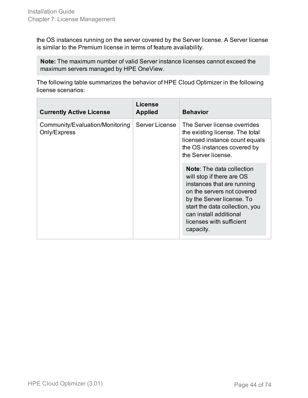the OS instances running on the server covered by the Server license. A Server license is similar to the Premium license in terms of feature availability.

**Note:** The maximum number of valid Server instance licenses cannot exceed the maximum servers managed by HPE OneView.

The following table summarizes the behavior of HPE Cloud Optimizer in the following license scenarios:

| <b>Currently Active License</b>                 | License<br><b>Applied</b> | <b>Behavior</b>                                                                                                                                                                                                                                             |
|-------------------------------------------------|---------------------------|-------------------------------------------------------------------------------------------------------------------------------------------------------------------------------------------------------------------------------------------------------------|
| Community/Evaluation/Monitoring<br>Only/Express | Server License            | The Server license overrides<br>the existing license. The total<br>licensed instance count equals<br>the OS instances covered by<br>the Server license.                                                                                                     |
|                                                 |                           | <b>Note:</b> The data collection<br>will stop if there are OS<br>instances that are running<br>on the servers not covered<br>by the Server license. To<br>start the data collection, you<br>can install additional<br>licenses with sufficient<br>capacity. |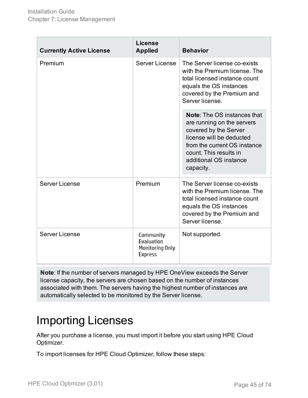| <b>Currently Active License</b> | License<br><b>Applied</b>                             | <b>Behavior</b>                                                                                                                                                                                                        |
|---------------------------------|-------------------------------------------------------|------------------------------------------------------------------------------------------------------------------------------------------------------------------------------------------------------------------------|
| Premium                         | Server License                                        | The Server license co-exists<br>with the Premium license. The<br>total licensed instance count<br>equals the OS instances<br>covered by the Premium and<br>Server license.                                             |
|                                 |                                                       | <b>Note:</b> The OS instances that<br>are running on the servers<br>covered by the Server<br>license will be deducted<br>from the current OS instance<br>count. This results in<br>additional OS instance<br>capacity. |
| Server License                  | Premium                                               | The Server license co-exists<br>with the Premium license. The<br>total licensed instance count<br>equals the OS instances<br>covered by the Premium and<br>Server license.                                             |
| <b>Server License</b>           | Community<br>Evaluation<br>Monitoring Only<br>Express | Not supported.                                                                                                                                                                                                         |

**Note**: If the number of servers managed by HPE OneView exceeds the Server license capacity, the servers are chosen based on the number of instances associated with them. The servers having the highest number of instances are automatically selected to be monitored by the Server license.

### <span id="page-44-0"></span>Importing Licenses

After you purchase a license, you must import it before you start using HPE Cloud Optimizer.

To import licenses for HPE Cloud Optimizer, follow these steps: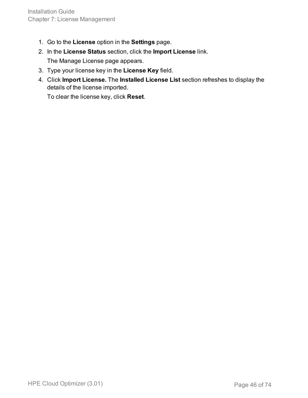- 1. Go to the **License** option in the **Settings** page.
- 2. In the **License Status** section, click the **Import License** link. The Manage License page appears.
- 3. Type your license key in the **License Key** field.
- 4. Click **Import License.** The **Installed License List** section refreshes to display the details of the license imported.

To clear the license key, click **Reset**.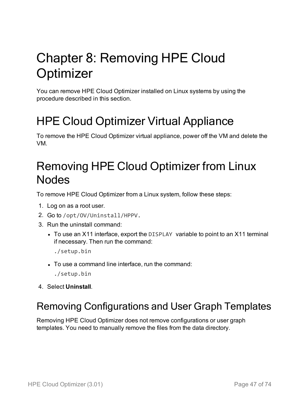# Chapter 8: Removing HPE Cloud **Optimizer**

You can remove HPE Cloud Optimizer installed on Linux systems by using the procedure described in this section.

## HPE Cloud Optimizer Virtual Appliance

To remove the HPE Cloud Optimizer virtual appliance, power off the VM and delete the VM.

### Removing HPE Cloud Optimizer from Linux Nodes

To remove HPE Cloud Optimizer from a Linux system, follow these steps:

- 1. Log on as a root user.
- 2. Go to /opt/OV/Uninstall/HPPV.
- 3. Run the uninstall command:
	- To use an X11 interface, export the DISPLAY variable to point to an X11 terminal if necessary. Then run the command:
		- ./setup.bin
	- To use a command line interface, run the command:
		- ./setup.bin
- 4. Select **Uninstall**.

### Removing Configurations and User Graph Templates

Removing HPE Cloud Optimizer does not remove configurations or user graph templates. You need to manually remove the files from the data directory.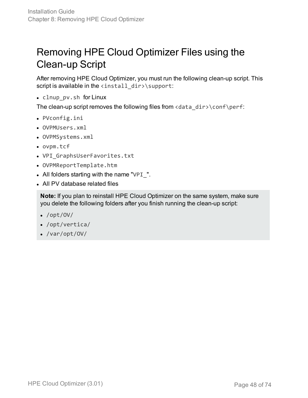### Removing HPE Cloud Optimizer Files using the Clean-up Script

After removing HPE Cloud Optimizer, you must run the following clean-up script. This script is available in the  $\langle$ install\_dir>\support:

• clnup\_pv.sh for Linux

The clean-up script removes the following files from <data\_dir>\conf\perf:

- PVconfig.ini
- OVPMUsers.xml
- OVPMSystems.xml
- <sup>l</sup> ovpm.tcf
- VPI\_GraphsUserFavorites.txt
- OVPMReportTemplate.htm
- All folders starting with the name "VPI $\blacksquare$ ".
- All PV database related files

**Note:** If you plan to reinstall HPE Cloud Optimizer on the same system, make sure you delete the following folders after you finish running the clean-up script:

- $\bullet$  /opt/OV/
- $\bullet$  /opt/vertica/
- $\bullet$  /var/opt/OV/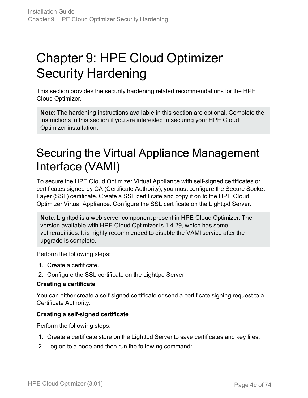# Chapter 9: HPE Cloud Optimizer Security Hardening

This section provides the security hardening related recommendations for the HPE Cloud Optimizer.

**Note**: The hardening instructions available in this section are optional. Complete the instructions in this section if you are interested in securing your HPE Cloud Optimizer installation.

### Securing the Virtual Appliance Management Interface (VAMI)

To secure the HPE Cloud Optimizer Virtual Appliance with self-signed certificates or certificates signed by CA (Certificate Authority), you must configure the Secure Socket Layer (SSL) certificate. Create a SSL certificate and copy it on to the HPE Cloud Optimizer Virtual Appliance. Configure the SSL certificate on the Lighttpd Server.

**Note**: Lighttpd is a web server component present in HPE Cloud Optimizer. The version available with HPE Cloud Optimizer is 1.4.29, which has some vulnerabilities. It is highly recommended to disable the VAMI service after the upgrade is complete.

Perform the following steps:

- 1. Create a certificate.
- 2. Configure the SSL certificate on the Lighttpd Server.

#### **Creating a certificate**

You can either create a self-signed certificate or send a certificate signing request to a Certificate Authority.

#### **Creating a self-signed certificate**

Perform the following steps:

- 1. Create a certificate store on the Lighttpd Server to save certificates and key files.
- 2. Log on to a node and then run the following command: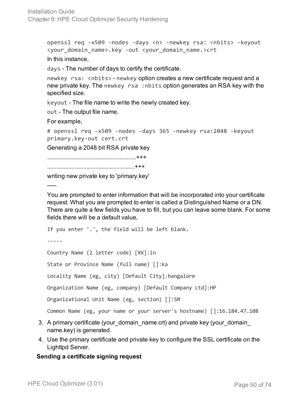openssl req -x509 -nodes -days <n> -newkey rsa: <nbits> -keyout <your\_domain\_name>.key -out <your\_domain\_name.>crt In this instance,

days - The number of days to certify the certificate.

newkey rsa: <nbits> - newkey option creates a new certificate request and a new private key. The newkey rsa :nbits option generates an RSA key with the specified size.

keyout - The file name to write the newly created key.

out - The output file name.

For example,

```
# openssl req -x509 -nodes -days 365 -newkey rsa:2048 -keyout
primary.key-out cert.crt
```
Generating a 2048 bit RSA private key

...........................................................+++

..........................................................+++

writing new private key to 'primary.key'

-----

You are prompted to enter information that will be incorporated into your certificate request. What you are prompted to enter is called a Distinguished Name or a DN. There are quite a few fields you have to fill, but you can leave some blank. For some fields there will be a default value,

If you enter '.', the field will be left blank.

-----

Country Name (2 letter code) [XX]:in

State or Province Name (full name) []:ka

Locality Name (eg, city) [Default City]:bangalore

Organization Name (eg, company) [Default Company Ltd]:HP

Organizational Unit Name (eg, section) []:SM

Common Name (eg, your name or your server's hostname) []:16.184.47.108

- 3. A primary certificate (your domain name.crt) and private key (your domain name.key) is generated.
- 4. Use the primary certificate and private key to configure the SSL certificate on the Lighttpd Server.

#### **Sending a certificate signing request**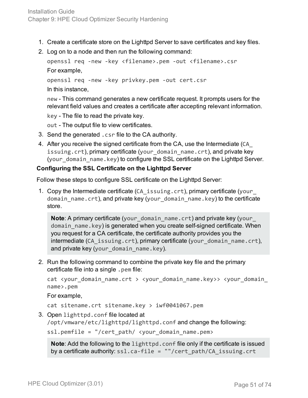- 1. Create a certificate store on the Lighttpd Server to save certificates and key files.
- 2. Log on to a node and then run the following command:

```
openssl req -new -key <filename>.pem -out <filename>.csr
For example,
openssl req -new -key privkey.pem -out cert.csr
```
In this instance,

new - This command generates a new certificate request. It prompts users for the relevant field values and creates a certificate after accepting relevant information.

key - The file to read the private key.

out - The output file to view certificates.

- 3. Send the generated .csr file to the CA authority.
- 4. After you receive the signed certificate from the CA, use the Intermediate (CA\_ issuing.crt), primary certificate (your\_domain\_name.crt), and private key (your\_domain\_name.key) to configure the SSL certificate on the Lighttpd Server.

#### **Configuring the SSL Certificate on the Lighttpd Server**

Follow these steps to configure SSL certificate on the Lighttpd Server:

1. Copy the Intermediate certificate (CA\_issuing.crt), primary certificate (your\_ domain\_name.crt), and private key (your\_domain\_name.key) to the certificate store.

**Note:** A primary certificate (your domain name.crt) and private key (your domain name.key) is generated when you create self-signed certificate. When you request for a CA certificate, the certificate authority provides you the intermediate (CA\_issuing.crt), primary certificate (your\_domain\_name.crt), and private key (your\_domain\_name.key).

2. Run the following command to combine the private key file and the primary certificate file into a single .pem file:

cat <your\_domain\_name.crt > <your\_domain\_name.key>> <your\_domain\_ name>.pem

For example,

cat sitename.crt sitename.key > iwf0041067.pem

3. Open lighttpd.conf file located at

/opt/vmware/etc/lighttpd/lighttpd.conf and change the following:

ssl.pemfile = "/cert path/ <your domain name.pem>

**Note**: Add the following to the lighttpd.conf file only if the certificate is issued by a certificate authority: ssl.ca-file = ""/cert\_path/CA\_issuing.crt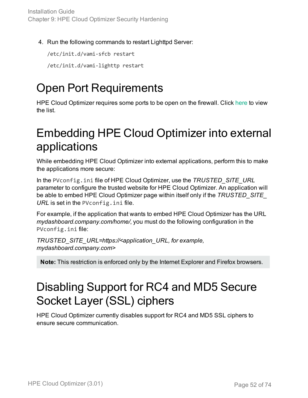4. Run the following commands to restart Lighttpd Server:

/etc/init.d/vami-sfcb restart

/etc/init.d/vami-lighttp restart

## Open Port Requirements

HPE Cloud Optimizer requires some ports to be open on the firewall. Click [here](#page-10-0) to view the list.

### Embedding HPE Cloud Optimizer into external applications

While embedding HPE Cloud Optimizer into external applications, perform this to make the applications more secure:

In the PVconfig.ini file of HPE Cloud Optimizer, use the *TRUSTED\_SITE\_URL* parameter to configure the trusted website for HPE Cloud Optimizer. An application will be able to embed HPE Cloud Optimizer page within itself only if the *TRUSTED\_SITE\_ URL* is set in the PVconfig.ini file.

For example, if the application that wants to embed HPE Cloud Optimizer has the URL *mydashboard.company.com/home/*, you must do the following configuration in the PVconfig.ini file:

*TRUSTED\_SITE\_URL=https://<application\_URL, for example, mydashboard.company.com>*

**Note:** This restriction is enforced only by the Internet Explorer and Firefox browsers.

### Disabling Support for RC4 and MD5 Secure Socket Layer (SSL) ciphers

HPE Cloud Optimizer currently disables support for RC4 and MD5 SSL ciphers to ensure secure communication.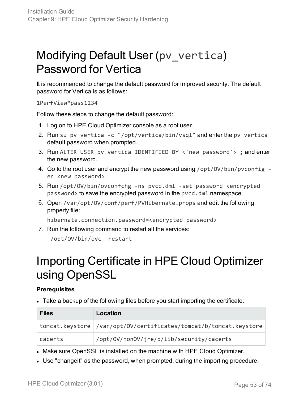### Modifying Default User (pv\_vertica) Password for Vertica

It is recommended to change the default password for improved security. The default password for Vertica is as follows:

1PerfView\*pass1234

Follow these steps to change the default password:

- 1. Log on to HPE Cloud Optimizer console as a root user.
- 2. Run su pv\_vertica -c "/opt/vertica/bin/vsql" and enter the pv\_vertica default password when prompted.
- 3. Run ALTER USER pv\_vertica IDENTIFIED BY <'new password'> ; and enter the new password.
- 4. Go to the root user and encrypt the new password using /opt/OV/bin/pvconfig en <new password>.
- 5. Run /opt/OV/bin/ovconfchg -ns pvcd.dml -set password <encrypted password> to save the encrypted password in the pvcd.dml namespace.
- 6. Open /var/opt/OV/conf/perf/PVHibernate.props and edit the following property file:

hibernate.connection.password=<encrypted password>

7. Run the following command to restart all the services:

/opt/OV/bin/ovc -restart

### Importing Certificate in HPE Cloud Optimizer using OpenSSL

#### **Prerequisites**

• Take a backup of the following files before you start importing the certificate:

| <b>Files</b> | Location                                                           |
|--------------|--------------------------------------------------------------------|
|              | tomcat.keystore //var/opt/OV/certificates/tomcat/b/tomcat.keystore |
| cacerts      | /opt/0V/non0V/jre/b/lib/security/cacerts                           |

- Make sure OpenSSL is installed on the machine with HPE Cloud Optimizer.
- Use "changeit" as the password, when prompted, during the importing procedure.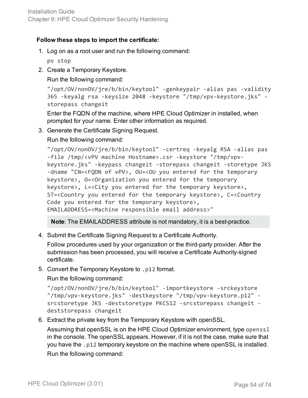#### **Follow these steps to import the certificate:**

1. Log on as a root user and run the following command:

pv stop

2. Create a Temporary Keystore.

Run the following command:

```
"/opt/OV/nonOV/jre/b/bin/keytool" -genkeypair -alias pas -validity
365 -keyalg rsa -keysize 2048 -keystore "/tmp/vpv-keystore.jks" -
storepass changeit
```
Enter the FQDN of the machine, where HPE Cloud Optimizer in installed, when prompted for your name. Enter other information as required.

3. Generate the Certificate Signing Request.

Run the following command:

```
"/opt/OV/nonOV/jre/b/bin/keytool" -certreq -keyalg RSA -alias pas
-file /tmp/<vPV machine Hostname>.csr -keystore "/tmp/vpv-
keystore.jks" -keypass changeit -storepass changeit -storetype JKS
-dname "CN=<FQDN of vPV>, OU=<OU you entered for the temporary
keystore>, O=<Organization you entered for the temporary
keystore>, L=<City you entered for the temporary keystore>,
ST=<Country you entered for the temporary keystore>, C=<Country
Code you entered for the temporary keystore>,
EMAILADDRESS=<Machine responsible email address>"
```
**Note**: The EMAILADDRESS attribute is not mandatory, it is a best-practice.

4. Submit the Certificate Signing Request to a Certificate Authority.

Follow procedures used by your organization or the third-party provider. After the submission has been processed, you will receive a Certificate Authority-signed certificate.

5. Convert the Temporary Keystore to .p12 format.

Run the following command:

```
"/opt/OV/nonOV/jre/b/bin/keytool" -importkeystore -srckeystore
"/tmp/vpv-keystore.jks" -destkeystore "/tmp/vpv-keystore.p12" -
srcstoretype JKS -deststoretype PKCS12 -srcstorepass changeit -
deststorepass changeit
```
6. Extract the private key from the Temporary Keystore with openSSL.

Assuming that openSSL is on the HPE Cloud Optimizer environment, type openssl in the console. The openSSL appears. However, if it is not the case, make sure that you have the .p12 temporary keystore on the machine where openSSL is installed. Run the following command: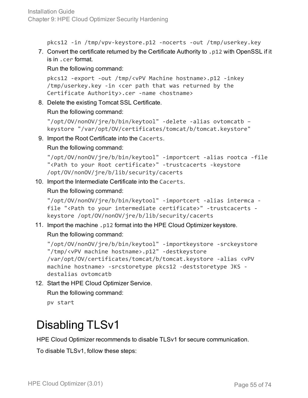Installation Guide Chapter 9: HPE Cloud Optimizer Security Hardening

pkcs12 -in /tmp/vpv-keystore.p12 -nocerts -out /tmp/userkey.key

7. Convert the certificate returned by the Certificate Authority to .p12 with OpenSSL if it is in .cer format.

Run the following command:

```
pkcs12 -export -out /tmp/<vPV Machine hostname>.p12 -inkey
/tmp/userkey.key -in <cer path that was returned by the
Certificate Authority>.cer -name <hostname>
```
8. Delete the existing Tomcat SSL Certificate.

Run the following command:

```
"/opt/OV/nonOV/jre/b/bin/keytool" -delete -alias ovtomcatb –
keystore "/var/opt/OV/certificates/tomcat/b/tomcat.keystore"
```
9. Import the Root Certificate into the Cacerts.

Run the following command:

```
"/opt/OV/nonOV/jre/b/bin/keytool" -importcert -alias rootca -file
"<Path to your Root certificate>" -trustcacerts -keystore
/opt/OV/nonOV/jre/b/lib/security/cacerts
```
10. Import the Intermediate Certificate into the Cacerts.

Run the following command:

```
"/opt/OV/nonOV/jre/b/bin/keytool" -importcert -alias intermca -
file "<Path to your intermediate certificate>" -trustcacerts -
keystore /opt/OV/nonOV/jre/b/lib/security/cacerts
```
11. Import the machine .p12 format into the HPE Cloud Optimizer keystore. Run the following command:

```
"/opt/OV/nonOV/jre/b/bin/keytool" -importkeystore -srckeystore
"/tmp/<vPV machine hostname>.p12" -destkeystore
/var/opt/OV/certificates/tomcat/b/tomcat.keystore -alias <vPV
machine hostname> -srcstoretype pkcs12 -deststoretype JKS -
destalias ovtomcatb
```
12. Start the HPE Cloud Optimizer Service.

Run the following command:

pv start

### Disabling TLSv1

HPE Cloud Optimizer recommends to disable TLSv1 for secure communication.

To disable TLSv1, follow these steps: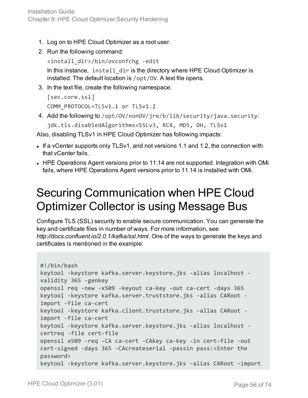- 1. Log on to HPE Cloud Optimizer as a root user.
- 2. Run the following command:

```
<install_dir>/bin/ovconfchg -edit
```
In this instance, install\_dir is the directory where HPE Cloud Optimizer is installed. The default location is /opt/OV. A text file opens.

3. In the text file, create the following namespace:

```
[sec.core.ssl]
COMM_PROTOCOL=TLSv1.1 or TLSv1.2
```
4. Add the following to /opt/OV/nonOV/jre/b/lib/security/java.security:

```
jdk.tls.disabledAlgorithms=SSLv3, RC4, MD5, DH, TLSv1
```
Also, disabling TLSv1 in HPE Cloud Optimizer has following impacts:

- If a vCenter supports only TLSv1, and not versions 1.1 and 1.2, the connection with that vCenter fails.
- HPE Operations Agent versions prior to 11.14 are not supported. Integration with OMi fails, where HPE Operations Agent versions prior to 11.14 is installed with OMi.

### Securing Communication when HPE Cloud Optimizer Collector is using Message Bus

Configure TLS (SSL) security to enable secure communication. You can generate the key and certificate files in number of ways. For more information, see *http://docs.confluent.io/2.0.1/kafka/ssl.html*. One of the ways to generate the keys and certificates is mentioned in the example:

```
#!/bin/bash
keytool -keystore kafka.server.keystore.jks -alias localhost -
validity 365 -genkey
openssl req -new -x509 -keyout ca-key -out ca-cert -days 365
keytool -keystore kafka.server.truststore.jks -alias CARoot -
import -file ca-cert
keytool -keystore kafka.client.truststore.jks -alias CARoot -
import -file ca-cert
keytool -keystore kafka.server.keystore.jks -alias localhost -
certreq -file cert-file
openssl x509 -req -CA ca-cert -CAkey ca-key -in cert-file -out
cert-signed -days 365 -CAcreateserial -passin pass:<Enter the
password>
keytool -keystore kafka.server.keystore.jks -alias CARoot -import
```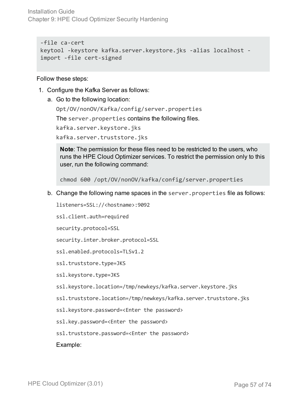Installation Guide Chapter 9: HPE Cloud Optimizer Security Hardening

```
-file ca-cert
keytool -keystore kafka.server.keystore.jks -alias localhost -
import -file cert-signed
```
Follow these steps:

- 1. Configure the Kafka Server as follows:
	- a. Go to the following location:

Opt/OV/nonOV/Kafka/config/server.properties

The server.properties contains the following files.

kafka.server.keystore.jks

kafka.server.truststore.jks

**Note**: The permission for these files need to be restricted to the users, who runs the HPE Cloud Optimizer services. To restrict the permission only to this user, run the following command:

chmod 600 /opt/OV/nonOV/kafka/config/server.properties

b. Change the following name spaces in the server.properties file as follows:

listeners=SSL://<hostname>:9092

ssl.client.auth=required

security.protocol=SSL

security.inter.broker.protocol=SSL

ssl.enabled.protocols=TLSv1.2

ssl.truststore.type=JKS

ssl.keystore.type=JKS

- ssl.keystore.location=/tmp/newkeys/kafka.server.keystore.jks
- ssl.truststore.location=/tmp/newkeys/kafka.server.truststore.jks
- ssl.keystore.password=<Enter the password>

ssl.key.password=<Enter the password>

ssl.truststore.password=<Enter the password>

Example: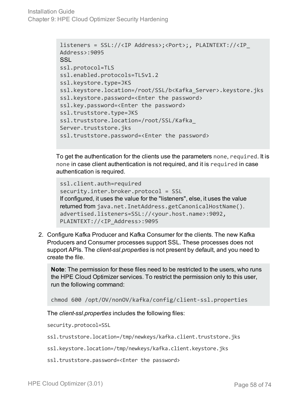```
listeners = SSL://<IP Address>;<Port>;, PLAINTEXT://<IP_
Address>:9095
SSL
ssl.protocol=TLS
ssl.enabled.protocols=TLSv1.2
ssl.keystore.type=JKS
ssl.keystore.location=/root/SSL/b<Kafka_Server>.keystore.jks
ssl.keystore.password=<Enter the password>
ssl.key.password=<Enter the password>
ssl.truststore.type=JKS
ssl.truststore.location=/root/SSL/Kafka_
Server.truststore.jks
ssl.truststore.password=<Enter the password>
```
To get the authentication for the clients use the parameters none, required. It is none in case client authentication is not required, and it is required in case authentication is required.

```
ssl.client.auth=required
security.inter.broker.protocol = SSL
If configured, it uses the value for the "listeners", else, it uses the value
returned from java.net.InetAddress.getCanonicalHostName().
advertised.listeners=SSL://<your.host.name>:9092,
PLAINTEXT://<IP_Address>:9095
```
2. Configure Kafka Producer and Kafka Consumer for the clients. The new Kafka Producers and Consumer processes support SSL. These processes does not support APIs. The *client-ssl.properties* is not present by default, and you need to create the file.

**Note**: The permission for these files need to be restricted to the users, who runs the HPE Cloud Optimizer services. To restrict the permission only to this user, run the following command:

```
chmod 600 /opt/OV/nonOV/kafka/config/client-ssl.properties
```
The *client-ssl.properties* includes the following files:

security.protocol=SSL

- ssl.truststore.location=/tmp/newkeys/kafka.client.truststore.jks
- ssl.keystore.location=/tmp/newkeys/kafka.client.keystore.jks
- ssl.truststore.password=<Enter the password>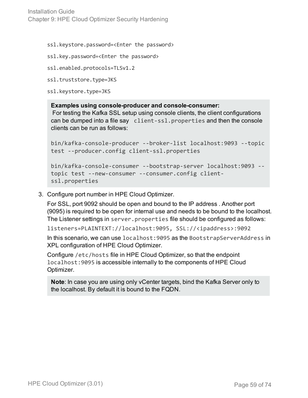Installation Guide Chapter 9: HPE Cloud Optimizer Security Hardening

ssl.keystore.password=<Enter the password>

ssl.key.password=<Enter the password>

```
ssl.enabled.protocols=TLSv1.2
```

```
ssl.truststore.type=JKS
```
ssl.keystore.type=JKS

#### **Examples using console-producer and console-consumer:**

For testing the Kafka SSL setup using console clients, the client configurations can be dumped into a file say client-ssl.properties and then the console clients can be run as follows:

```
bin/kafka-console-producer --broker-list localhost:9093 --topic
test --producer.config client-ssl.properties
```

```
bin/kafka-console-consumer --bootstrap-server localhost:9093 --
topic test --new-consumer --consumer.config client-
ssl.properties
```
3. Configure port number in HPE Cloud Optimizer.

For SSL, port 9092 should be open and bound to the IP address . Another port (9095) is required to be open for internal use and needs to be bound to the localhost. The Listener settings in server.properties file should be configured as follows:

listeners=PLAINTEXT://localhost:9095, SSL://<ipaddress>:9092

In this scenario, we can use localhost:9095 as the BootstrapServerAddress in XPL configuration of HPE Cloud Optimizer.

Configure /etc/hosts file in HPE Cloud Optimizer, so that the endpoint localhost:9095 is accessible internally to the components of HPE Cloud Optimizer.

```
Note: In case you are using only vCenter targets, bind the Kafka Server only to
the localhost. By default it is bound to the FQDN.
```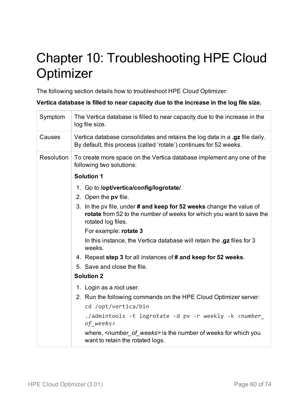# Chapter 10: Troubleshooting HPE Cloud **Optimizer**

The following section details how to troubleshoot HPE Cloud Optimizer:

**Vertica database is filled to near capacity due to the increase in the log file size.**

| Symptom    | The Vertica database is filled to near capacity due to the increase in the<br>log file size.                                                                       |
|------------|--------------------------------------------------------------------------------------------------------------------------------------------------------------------|
| Causes     | Vertica database consolidates and retains the log data in a .gz file daily.<br>By default, this process (called 'rotate') continues for 52 weeks.                  |
| Resolution | To create more space on the Vertica database implement any one of the<br>following two solutions:                                                                  |
|            | <b>Solution 1</b>                                                                                                                                                  |
|            | 1. Go to /opt/vertica/config/logrotate/.                                                                                                                           |
|            | 2. Open the pv file.                                                                                                                                               |
|            | 3. In the pv file, under # and keep for 52 weeks change the value of<br>rotate from 52 to the number of weeks for which you want to save the<br>rotated log files. |
|            | For example: rotate 3                                                                                                                                              |
|            | In this instance, the Vertica database will retain the .gz files for 3<br>weeks.                                                                                   |
|            | 4. Repeat step 3 for all instances of # and keep for 52 weeks.                                                                                                     |
|            | 5. Save and close the file.                                                                                                                                        |
|            | <b>Solution 2</b>                                                                                                                                                  |
|            | 1. Login as a root user.                                                                                                                                           |
|            | 2. Run the following commands on the HPE Cloud Optimizer server:                                                                                                   |
|            | cd /opt/vertica/bin                                                                                                                                                |
|            | ./admintools -t logrotate -d pv -r weekly -k <number_<br>of_weeks&gt;</number_<br>                                                                                 |
|            | where, <i><number of="" weeks=""></number></i> is the number of weeks for which you<br>want to retain the rotated logs.                                            |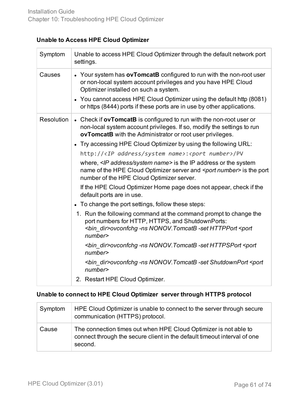#### **Unable to Access HPE Cloud Optimizer**

| Symptom    | Unable to access HPE Cloud Optimizer through the default network port<br>settings.                                                                                                                                                                                                                                                                                                                                                                                                                                                                                                                                                                                                                                                                                                                                                                                                                                                                                                                                                                                                                                                                                                            |
|------------|-----------------------------------------------------------------------------------------------------------------------------------------------------------------------------------------------------------------------------------------------------------------------------------------------------------------------------------------------------------------------------------------------------------------------------------------------------------------------------------------------------------------------------------------------------------------------------------------------------------------------------------------------------------------------------------------------------------------------------------------------------------------------------------------------------------------------------------------------------------------------------------------------------------------------------------------------------------------------------------------------------------------------------------------------------------------------------------------------------------------------------------------------------------------------------------------------|
| Causes     | • Your system has ovTomcatB configured to run with the non-root user<br>or non-local system account privileges and you have HPE Cloud<br>Optimizer installed on such a system.<br>• You cannot access HPE Cloud Optimizer using the default http (8081)<br>or https (8444) ports if these ports are in use by other applications.                                                                                                                                                                                                                                                                                                                                                                                                                                                                                                                                                                                                                                                                                                                                                                                                                                                             |
| Resolution | • Check if ovTomcatB is configured to run with the non-root user or<br>non-local system account privileges. If so, modify the settings to run<br>ovTomcatB with the Administrator or root user privileges.<br>• Try accessing HPE Cloud Optimizer by using the following URL:<br>http:// <ip address="" name="" system="">:<port number="">/PV<br/>where, <ip address="" name="" system=""> is the IP address or the system<br/>name of the HPE Cloud Optimizer server and <port number=""> is the port<br/>number of the HPE Cloud Optimizer server.<br/>If the HPE Cloud Optimizer Home page does not appear, check if the<br/>default ports are in use.<br/>• To change the port settings, follow these steps:<br/>1. Run the following command at the command prompt to change the<br/>port numbers for HTTP, HTTPS, and ShutdownPorts:<br/><bin_dir>ovconfchg -ns NONOV.TomcatB -set HTTPPort <port<br>number<br/><bin dir="">ovconfchg -ns NONOV. TomcatB -set HTTPSPort <port<br>number<br/><bin_dir>ovconfchg -ns NONOV.TomcatB -set ShutdownPort <port<br>number<br/>2. Restart HPE Cloud Optimizer.</port<br></bin_dir></port<br></bin></port<br></bin_dir></port></ip></port></ip> |

#### **Unable to connect to HPE Cloud Optimizer server through HTTPS protocol**

| Symptom | HPE Cloud Optimizer is unable to connect to the server through secure<br>communication (HTTPS) protocol.                                                |
|---------|---------------------------------------------------------------------------------------------------------------------------------------------------------|
| Cause   | The connection times out when HPE Cloud Optimizer is not able to<br>connect through the secure client in the default timeout interval of one<br>second. |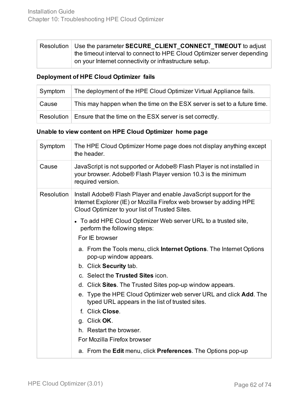|  | Resolution   Use the parameter SECURE CLIENT CONNECT TIMEOUT to adjust<br>the timeout interval to connect to HPE Cloud Optimizer server depending |  |
|--|---------------------------------------------------------------------------------------------------------------------------------------------------|--|
|  |                                                                                                                                                   |  |
|  | on your Internet connectivity or infrastructure setup.                                                                                            |  |

#### **Deployment of HPE Cloud Optimizer fails**

| Symptom | The deployment of the HPE Cloud Optimizer Virtual Appliance fails.       |  |
|---------|--------------------------------------------------------------------------|--|
| Cause   | This may happen when the time on the ESX server is set to a future time. |  |
|         | Resolution   Ensure that the time on the ESX server is set correctly.    |  |

#### **Unable to view content on HPE Cloud Optimizer home page**

| Symptom           | The HPE Cloud Optimizer Home page does not display anything except<br>the header.                                                                                                          |  |
|-------------------|--------------------------------------------------------------------------------------------------------------------------------------------------------------------------------------------|--|
| Cause             | JavaScript is not supported or Adobe® Flash Player is not installed in<br>your browser. Adobe® Flash Player version 10.3 is the minimum<br>required version.                               |  |
| <b>Resolution</b> | Install Adobe® Flash Player and enable JavaScript support for the<br>Internet Explorer (IE) or Mozilla Firefox web browser by adding HPE<br>Cloud Optimizer to your list of Trusted Sites. |  |
|                   | • To add HPE Cloud Optimizer Web server URL to a trusted site,<br>perform the following steps:                                                                                             |  |
|                   | For IE browser                                                                                                                                                                             |  |
|                   | a. From the Tools menu, click <b>Internet Options</b> . The Internet Options<br>pop-up window appears.                                                                                     |  |
|                   | b. Click Security tab.                                                                                                                                                                     |  |
|                   | c. Select the Trusted Sites icon.                                                                                                                                                          |  |
|                   | d. Click Sites. The Trusted Sites pop-up window appears.                                                                                                                                   |  |
|                   | e. Type the HPE Cloud Optimizer web server URL and click Add. The<br>typed URL appears in the list of trusted sites.                                                                       |  |
|                   | f. Click Close.                                                                                                                                                                            |  |
|                   | g. Click OK.                                                                                                                                                                               |  |
|                   | h. Restart the browser.                                                                                                                                                                    |  |
|                   | For Mozilla Firefox browser                                                                                                                                                                |  |
|                   | a. From the Edit menu, click Preferences. The Options pop-up                                                                                                                               |  |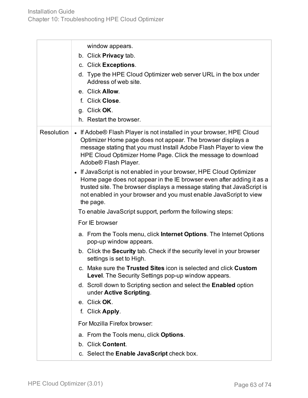|                   | window appears.<br>b. Click Privacy tab.<br>c. Click Exceptions.<br>d. Type the HPE Cloud Optimizer web server URL in the box under<br>Address of web site.<br>e. Click Allow.<br>f. Click Close.<br>g. Click OK.<br>h. Restart the browser.                                                                                                                                                                                                                                                                                                                                                                                                                                                                                                                                                                                                                                                                                                                                                                                                                                                                                                                                                                                                                                                                                              |
|-------------------|-------------------------------------------------------------------------------------------------------------------------------------------------------------------------------------------------------------------------------------------------------------------------------------------------------------------------------------------------------------------------------------------------------------------------------------------------------------------------------------------------------------------------------------------------------------------------------------------------------------------------------------------------------------------------------------------------------------------------------------------------------------------------------------------------------------------------------------------------------------------------------------------------------------------------------------------------------------------------------------------------------------------------------------------------------------------------------------------------------------------------------------------------------------------------------------------------------------------------------------------------------------------------------------------------------------------------------------------|
| <b>Resolution</b> | • If Adobe® Flash Player is not installed in your browser, HPE Cloud<br>Optimizer Home page does not appear. The browser displays a<br>message stating that you must Install Adobe Flash Player to view the<br>HPE Cloud Optimizer Home Page. Click the message to download<br>Adobe® Flash Player.<br>• If JavaScript is not enabled in your browser, HPE Cloud Optimizer<br>Home page does not appear in the IE browser even after adding it as a<br>trusted site. The browser displays a message stating that JavaScript is<br>not enabled in your browser and you must enable JavaScript to view<br>the page.<br>To enable JavaScript support, perform the following steps:<br>For IE browser<br>a. From the Tools menu, click Internet Options. The Internet Options<br>pop-up window appears.<br>b. Click the <b>Security</b> tab. Check if the security level in your browser<br>settings is set to High.<br>c. Make sure the Trusted Sites icon is selected and click Custom<br><b>Level.</b> The Security Settings pop-up window appears.<br>d. Scroll down to Scripting section and select the <b>Enabled</b> option<br>under Active Scripting.<br>e. Click OK.<br>f. Click Apply.<br>For Mozilla Firefox browser:<br>a. From the Tools menu, click Options.<br>b. Click Content.<br>c. Select the Enable JavaScript check box. |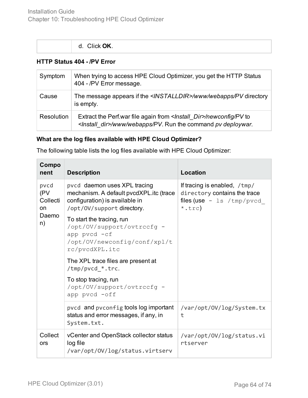| d. Click OK. |  |  |
|--------------|--|--|
|              |  |  |

#### **HTTP Status 404 - /PV Error**

| Symptom    | When trying to access HPE Cloud Optimizer, you get the HTTP Status<br>404 - /PV Error message.                                     |
|------------|------------------------------------------------------------------------------------------------------------------------------------|
| Cause      | The message appears if the <installdir>/www/webapps/PV directory<br/>is empty.</installdir>                                        |
| Resolution | Extract the Perf.war file again from /newconfig/PV to<br><install_dir>/www/webapps/PV. Run the command pv deploywar.</install_dir> |

#### **What are the log files available with HPE Cloud Optimizer?**

The following table lists the log files available with HPE Cloud Optimizer:

| Compo<br>nent                                | <b>Description</b>                                                                                                                      | Location                                                                                                        |
|----------------------------------------------|-----------------------------------------------------------------------------------------------------------------------------------------|-----------------------------------------------------------------------------------------------------------------|
| pvcd<br>(PV<br>Collecti<br>on<br>Daemo<br>n) | pvcd daemon uses XPL tracing<br>mechanism. A default pvcdXPL.itc (trace<br>configuration) is available in<br>/opt/0V/support directory. | If tracing is enabled, /tmp/<br>directory contains the trace<br>files (use $-$ 1s /tmp/pvcd<br>$*, \text{trc})$ |
|                                              | To start the tracing, run<br>/opt/0V/support/ovtrccfg -<br>app pvcd -cf<br>/opt/OV/newconfig/conf/xpl/t<br>rc/pvcdXPL.itc               |                                                                                                                 |
|                                              | The XPL trace files are present at<br>/tmp/pvcd_*.trc.                                                                                  |                                                                                                                 |
|                                              | To stop tracing, run<br>/opt/OV/support/ovtrccfg -<br>app pvcd -off                                                                     |                                                                                                                 |
|                                              | pvcd and pvconfig tools log important<br>status and error messages, if any, in<br>System.txt.                                           | /var/opt/0V/log/System.tx<br>t                                                                                  |
| Collect<br>ors                               | vCenter and OpenStack collector status<br>log file<br>/var/opt/0V/log/status.virtserv                                                   | /var/opt/0V/log/status.vi<br>rtserver                                                                           |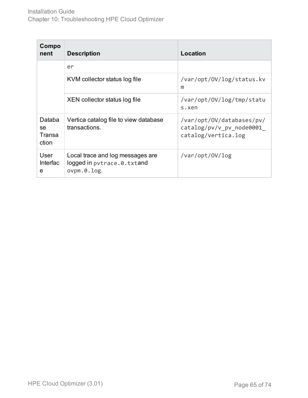| Compo<br>nent                   | <b>Description</b>                                                               | Location                                                                     |
|---------------------------------|----------------------------------------------------------------------------------|------------------------------------------------------------------------------|
|                                 | er                                                                               |                                                                              |
|                                 | KVM collector status log file                                                    | /var/opt/0V/log/status.kv<br>m                                               |
|                                 | XEN collector status log file                                                    | /var/opt/0V/log/tmp/statu<br>s.xen                                           |
| Databa<br>se<br>Transa<br>ction | Vertica catalog file to view database<br>transactions.                           | /var/opt/OV/databases/pv/<br>catalog/pv/v pv node0001<br>catalog/vertica.log |
| User<br><b>Interfac</b><br>e    | Local trace and log messages are<br>logged in pytrace.0.txtand<br>$ovpm.0.$ log. | /var/opt/0V/log                                                              |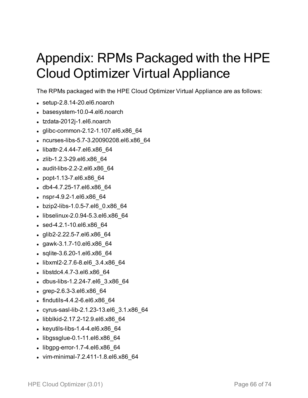# Appendix: RPMs Packaged with the HPE Cloud Optimizer Virtual Appliance

The RPMs packaged with the HPE Cloud Optimizer Virtual Appliance are as follows:

- $\bullet$  setup-2.8.14-20.el6.noarch
- basesystem-10.0-4.el6.noarch
- tzdata-2012j-1.el6.noarch
- glibc-common-2.12-1.107.el6.x86 64
- <sup>l</sup> ncurses-libs-5.7-3.20090208.el6.x86\_64
- libattr-2.4.44-7.el6.x86 64
- zlib-1.2.3-29.el6.x86 64
- $\bullet$  audit-libs-2.2-2.el6.x86 64
- popt-1.13-7.el6.x86 64
- $\bullet$  db4-4.7.25-17.el6.x86 64
- $\cdot$  nspr-4.9.2-1.el6.x86 64
- bzip2-libs-1.0.5-7.el6 0.x86 64
- $\bullet$  libselinux-2.0.94-5.3.el6.x86 64
- $\cdot$  sed-4.2.1-10.el6.x86 64
- $\bullet$  glib2-2.22.5-7.el6.x86\_64
- $\cdot$  gawk-3.1.7-10.el6.x86 64
- $\bullet$  sqlite-3.6.20-1.el6.x86 64
- libxml2-2.7.6-8.el6 3.4.x86 64
- libstdc4.4.7-3.el6.x86 64
- dbus-libs-1.2.24-7.el6 3.x86 64
- $\cdot$  grep-2.6.3-3.el6.x86 64
- $\bullet$  findutils-4.4.2-6.el6.x86 64
- cyrus-sasl-lib-2.1.23-13.el6 3.1.x86 64
- libblkid-2.17.2-12.9.el6.x86 64
- $\cdot$  keyutils-libs-1.4-4.el6.x86\_64
- $\bullet$  libgssglue-0.1-11.el6.x86 $64$
- $\bullet$  libgpg-error-1.7-4.el6.x86 $64$
- vim-minimal-7.2.411-1.8.el6.x86 64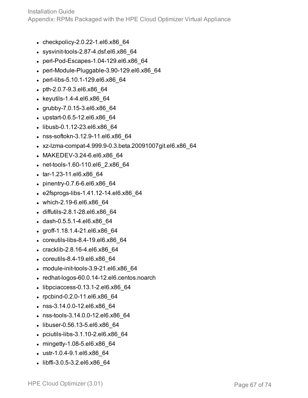Installation Guide

Appendix: RPMs Packaged with the HPE Cloud Optimizer Virtual Appliance

- $\bullet$  checkpolicy-2.0.22-1.el6.x86 64
- $\bullet$  sysvinit-tools-2.87-4.dsf.el6.x86 64
- perl-Pod-Escapes-1.04-129.el6.x86 64
- $\bullet$  perl-Module-Pluggable-3.90-129.el6.x86\_64
- perl-libs-5.10.1-129.el6.x86 64
- $\bullet$  pth-2.0.7-9.3.el6.x86 64
- $\bullet$  keyutils-1.4-4.el6.x86 64
- $\cdot$  grubby-7.0.15-3.el6.x86 64
- upstart-0.6.5-12.el6.x86 64
- libusb-0.1.12-23.el6.x86 64
- nss-softokn-3.12.9-11.el6.x86 64
- <sup>l</sup> xz-lzma-compat-4.999.9-0.3.beta.20091007git.el6.x86\_64
- MAKEDEV-3.24-6.el6.x86 64
- net-tools-1.60-110.el6 2.x86 64
- tar-1.23-11.el6.x86 64
- $\bullet$  pinentry-0.7.6-6.el6.x86 64
- $\cdot$  e2fsprogs-libs-1.41.12-14.el6.x86 64
- $\bullet$  which-2.19-6.el6.x86 64
- diffutils-2.8.1-28.el6.x86 64
- dash-0.5.5.1-4.el6.x86 64
- $\cdot$  groff-1.18.1.4-21.el6.x86 64
- $\bullet$  coreutils-libs-8.4-19.el6.x86 64
- cracklib-2.8.16-4.el6.x86 64
- coreutils-8.4-19.el6.x86 $64$
- $\bullet$  module-init-tools-3.9-21.el6.x86 64
- $\bullet$  redhat-logos-60.0.14-12.el6.centos.noarch
- $\bullet$  libpciaccess-0.13.1-2.el6.x86\_64
- rpcbind-0.2.0-11.el6.x86 64
- nss-3.14.0.0-12.el6.x86 64
- nss-tools-3.14.0.0-12.el6.x86\_64
- libuser-0.56.13-5.el6.x86 64
- $\bullet$  pciutils-libs-3.1.10-2.el6.x86 64
- $\bullet$  mingetty-1.08-5.el6.x86 64
- ustr-1.0.4-9.1.el6.x86\_64
- $\bullet$  libffi-3.0.5-3.2.el6.x86 64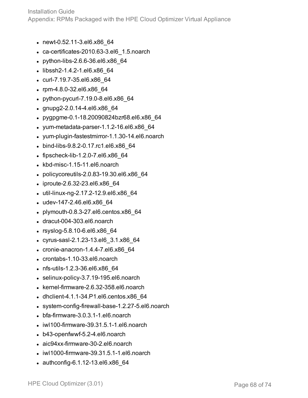Installation Guide Appendix: RPMs Packaged with the HPE Cloud Optimizer Virtual Appliance

- newt-0.52.11-3.el6.x86 64
- $\cdot$  ca-certificates-2010.63-3.el6 1.5.noarch
- python-libs-2.6.6-36.el6.x86 64
- libssh2-1.4.2-1.el6.x86 64
- curl-7.19.7-35.el6.x86 64
- rpm-4.8.0-32.el6.x86\_64
- $\bullet$  python-pycurl-7.19.0-8.el6.x86 64
- $\cdot$  gnupg2-2.0.14-4.el6.x86 64
- pygpgme-0.1-18.20090824bzr68.el6.x86 64
- $\bullet$  yum-metadata-parser-1.1.2-16.el6.x86 $64$
- yum-plugin-fastestmirror-1.1.30-14.el6.noarch
- bind-libs-9.8.2-0.17.rc1.el6.x86 64
- $\bullet$  fipscheck-lib-1.2.0-7.el6.x86 64
- $\bullet$  kbd-misc-1.15-11.el6.noarch
- $\bullet$  policycoreutils-2.0.83-19.30.el6.x86 64
- $\bullet$  iproute-2.6.32-23.el6.x86 64
- $\bullet$  util-linux-ng-2.17.2-12.9.el6.x86 64
- $\bullet$  udev-147-2.46.el6.x86 64
- $\bullet$  plymouth-0.8.3-27.el6.centos.x86 64
- $\bullet$  dracut-004-303.el6.noarch
- $\cdot$  rsyslog-5.8.10-6.el6.x86 64
- <sup>l</sup> cyrus-sasl-2.1.23-13.el6\_3.1.x86\_64
- $\cdot$  cronie-anacron-1.4.4-7.el6.x86 64
- $\bullet$  crontabs-1.10-33.el6.noarch
- nfs-utils-1.2.3-36.el6.x86 64
- selinux-policy-3.7.19-195.el6.noarch
- $\bullet$  kernel-firmware-2.6.32-358.el6.noarch
- $\bullet$  dhclient-4.1.1-34.P1.el6.centos.x86 64
- $\bullet$  system-config-firewall-base-1.2.27-5.el6.noarch
- $\bullet$  bfa-firmware-3.0.3.1-1.el6.noarch
- $\bullet$  iwl100-firmware-39.31.5.1-1.el6.noarch
- $\bullet$  b43-openfwwf-5.2-4.el6.noarch
- aic94xx-firmware-30-2.el6.noarch
- $\bullet$  iwl1000-firmware-39.31.5.1-1.el6.noarch
- $\bullet$  authconfig-6.1.12-13.el6.x86 64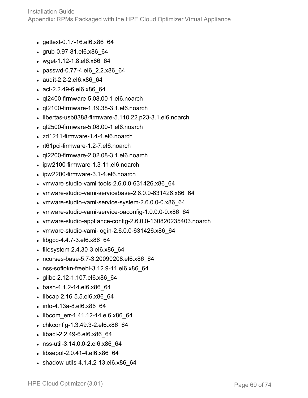- $\bullet$  gettext-0.17-16.el6.x86 64
- $\cdot$  grub-0.97-81.el6.x86 64
- $\bullet$  wget-1.12-1.8.el6.x86 64
- passwd-0.77-4.el6 2.2.x86 64
- audit-2.2-2.el6.x86 64
- $\bullet$  acl-2.2.49-6.el6.x86 64
- $\bullet$  ql2400-firmware-5.08.00-1.el6.noarch
- $\bullet$  ql2100-firmware-1.19.38-3.1.el6.noarch
- $\bullet$  libertas-usb8388-firmware-5.110.22.p23-3.1.el6.noarch
- $\cdot$  ql2500-firmware-5.08.00-1.el6.noarch
- $\bullet$  zd1211-firmware-1.4-4.el6.noarch
- $\cdot$  rt61 pci-firmware-1.2-7.el6.noarch
- $\bullet$  ql2200-firmware-2.02.08-3.1.el6.noarch
- $\bullet$  ipw2100-firmware-1.3-11.el6.noarch
- $\bullet$  ipw2200-firmware-3.1-4.el6.noarch
- $\bullet$  vmware-studio-vami-tools-2.6.0.0-631426.x86 64
- $\bullet$  vmware-studio-vami-servicebase-2.6.0.0-631426.x86\_64
- $\bullet$  vmware-studio-vami-service-system-2.6.0.0-0.x86 64
- vmware-studio-vami-service-oaconfig-1.0.0.0-0.x86 64
- $\bullet$  vmware-studio-appliance-config-2.6.0.0-130820235403.noarch
- $\bullet$  vmware-studio-vami-login-2.6.0.0-631426.x86 64
- $\bullet$  libgcc-4.4.7-3.el6.x86\_64
- $\bullet$  filesystem-2.4.30-3.el6.x86 $64$
- ncurses-base-5.7-3.20090208.el6.x86 64
- $\cdot$  nss-softokn-freebl-3.12.9-11.el6.x86 64
- $\bullet$  glibc-2.12-1.107.el6.x86 64
- bash-4.1.2-14.el6.x86 64
- libcap-2.16-5.5.el6.x86 64
- $\cdot$  info-4.13a-8.el6.x86 64
- libcom err-1.41.12-14.el6.x86 64
- chkconfig-1.3.49.3-2.el6.x86 $64$
- libacl-2.2.49-6.el6.x86 64
- nss-util-3.14.0.0-2.el6.x86\_64
- $\bullet$  libsepol-2.0.41-4.el6.x86 64
- $\bullet$  shadow-utils-4.1.4.2-13.el6.x86 64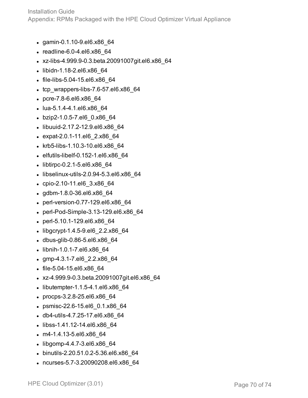- gamin-0.1.10-9.el6.x86 64
- $\cdot$  readline-6.0-4.el6.x86 64
- <sup>l</sup> xz-libs-4.999.9-0.3.beta.20091007git.el6.x86\_64
- libidn-1.18-2.el6.x86 64
- $\bullet$  file-libs-5.04-15.el6.x86 64
- $\cdot$  tcp wrappers-libs-7.6-57.el6.x86 64
- pcre-7.8-6.el6.x86 64
- $\bullet$  lua-5.1.4-4.1.el6.x86 64
- $\bullet$  bzip2-1.0.5-7.el6 0.x86 64
- libuuid-2.17.2-12.9.el6.x86 64
- expat-2.0.1-11.el6 2.x86 64
- krb5-libs-1.10.3-10.el6.x86\_64
- $\bullet$  elfutils-libelf-0.152-1.el6.x86 64
- $\bullet$  libtirpc-0.2.1-5.el6.x86 64
- $\bullet$  libselinux-utils-2.0.94-5.3.el6.x86 64
- cpio-2.10-11.el6 3.x86 64
- gdbm-1.8.0-36.el6.x86\_64
- perl-version-0.77-129.el6.x86 64
- perl-Pod-Simple-3.13-129.el6.x86 64
- perl-5.10.1-129.el6.x86 64
- libgcrypt-1.4.5-9.el6  $2.2.x86664$
- dbus-glib-0.86-5.el6.x86\_64
- libnih-1.0.1-7.el6.x86 64
- <sup>l</sup> gmp-4.3.1-7.el6\_2.2.x86\_64
- file-5.04-15.el6.x86 64
- <sup>l</sup> xz-4.999.9-0.3.beta.20091007git.el6.x86\_64
- $\bullet$  libutempter-1.1.5-4.1.el6.x86 64
- $\cdot$  procps-3.2.8-25.el6.x86 64
- psmisc-22.6-15.el6 0.1.x86 64
- db4-utils-4.7.25-17.el6.x86 64
- libss-1.41.12-14.el6.x86 64
- $\cdot$  m4-1.4.13-5.el6.x86 64
- $\bullet$  libgomp-4.4.7-3.el6.x86 64
- binutils-2.20.51.0.2-5.36.el6.x86\_64
- ncurses-5.7-3.20090208.el6.x86 64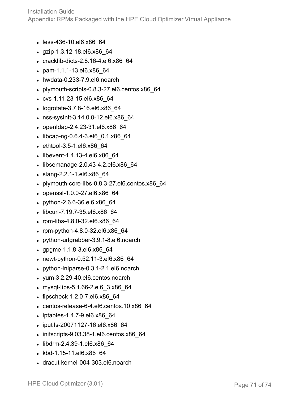- less-436-10.el6.x86 64
- $\cdot$  gzip-1.3.12-18.el6.x86 64
- $\cdot$  cracklib-dicts-2.8.16-4.el6.x86 64
- pam-1.1.1-13.el6.x86 64
- $\bullet$  hwdata-0.233-7.9.el6.noarch
- $\bullet$  plymouth-scripts-0.8.3-27.el6.centos.x86 $64$
- cvs-1.11.23-15.el6.x86 64
- logrotate-3.7.8-16.el6.x86 64
- nss-sysinit-3.14.0.0-12.el6.x86\_64
- openIdap-2.4.23-31.el6.x86 64
- $\bullet$  libcap-ng-0.6.4-3.el6 0.1.x86 64
- $\bullet$  ethtool-3.5-1.el6.x86 64
- $\bullet$  libevent-1.4.13-4.el6.x86 64
- $\bullet$  libsemanage-2.0.43-4.2.el6.x86 64
- slang-2.2.1-1.el6.x86 64
- $\bullet$  plymouth-core-libs-0.8.3-27.el6.centos.x86 64
- openssl-1.0.0-27.el6.x86 64
- $\bullet$  python-2.6.6-36.el6.x86 64
- libcurl-7.19.7-35.el6.x86 64
- $\cdot$  rpm-libs-4.8.0-32.el6.x86 64
- rpm-python-4.8.0-32.el6.x86 $64$
- python-urlgrabber-3.9.1-8.el6.noarch
- gpgme-1.1.8-3.el6.x86 $64$
- newt-python-0.52.11-3.el6.x86 $64$
- python-iniparse-0.3.1-2.1.el6.noarch
- $\nu$  yum-3.2.29-40.el6.centos.noarch
- mysql-libs-5.1.66-2.el6 3.x86 64
- $\bullet$  fipscheck-1.2.0-7.el6.x86 $64$
- $\cdot$  centos-release-6-4.el6.centos.10.x86 64
- $\bullet$  iptables-1.4.7-9.el6.x86 64
- iputils-20071127-16.el6.x86 64
- $\cdot$  initscripts-9.03.38-1.el6.centos.x86 64
- libdrm-2.4.39-1.el6.x86 64
- kbd-1.15-11.el6.x86 64
- dracut-kernel-004-303.el6.noarch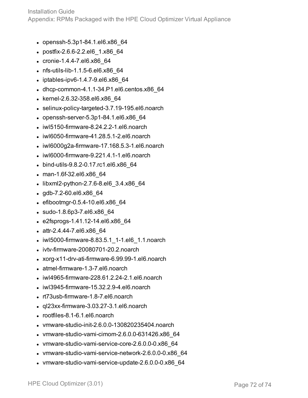Installation Guide Appendix: RPMs Packaged with the HPE Cloud Optimizer Virtual Appliance

- $\bullet$  openssh-5.3p1-84.1.el6.x86 64
- postfix-2.6.6-2.2.el6 1.x86 64
- $\cdot$  cronie-1.4.4-7.el6.x86 64
- nfs-utils-lib-1.1.5-6.el6.x86 64
- $\bullet$  iptables-ipv6-1.4.7-9.el6.x86 64
- $\bullet$  dhcp-common-4.1.1-34.P1.el6.centos.x86 $64$
- $\bullet$  kernel-2.6.32-358.el6.x86 64
- $\bullet$  selinux-policy-targeted-3.7.19-195.el6.noarch
- $\bullet$  openssh-server-5.3p1-84.1.el6.x86 64
- $\bullet$  iwl5150-firmware-8.24.2.2-1.el6.noarch
- $\bullet$  iwl6050-firmware-41.28.5.1-2.el6.noarch
- $\bullet$  iwl6000g2a-firmware-17.168.5.3-1.el6.noarch
- $\bullet$  iwl6000-firmware-9.221.4.1-1.el6.noarch
- bind-utils-9.8.2-0.17.rc1.el6.x86 64
- man-1.6f-32.el6.x86 64
- $\bullet$  libxml2-python-2.7.6-8.el6 3.4.x86 64
- $\cdot$  gdb-7.2-60.el6.x86 $64$
- $\cdot$  efibootmgr-0.5.4-10.el6.x86 64
- $\bullet$  sudo-1.8.6p3-7.el6.x86 64
- $\cdot$  e2fsprogs-1.41.12-14.el6.x86 64
- $\bullet$  attr-2.4.44-7.el6.x86 64
- iwl5000-firmware-8.83.5.1 1-1.el6 1.1.noarch
- $\bullet$  ivtv-firmware-20080701-20.2.noarch
- xorg-x11-drv-ati-firmware-6.99.99-1.el6.noarch
- atmel-firmware-1.3-7.el6.noarch
- $\bullet$  iwl4965-firmware-228.61.2.24-2.1.el6.noarch
- $\bullet$  iwl3945-firmware-15.32.2.9-4.el6.noarch
- rt73usb-firmware-1.8-7.el6.noarch
- $\cdot$  ql23xx-firmware-3.03.27-3.1.el6.noarch
- rootfiles-8.1-6.1.el6.noarch
- $\bullet$  vmware-studio-init-2.6.0.0-130820235404.noarch
- $\bullet$  vmware-studio-vami-cimom-2.6.0.0-631426.x86 64
- $\bullet$  vmware-studio-vami-service-core-2.6.0.0-0.x86 64
- vmware-studio-vami-service-network-2.6.0.0-0.x86\_64
- vmware-studio-vami-service-update-2.6.0.0-0.x86 64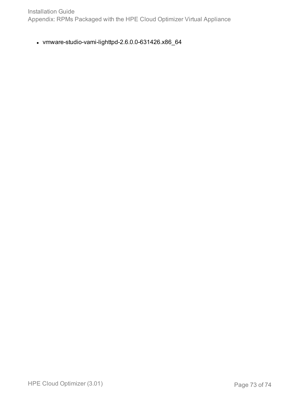Installation Guide Appendix: RPMs Packaged with the HPE Cloud Optimizer Virtual Appliance

 $\bullet$  vmware-studio-vami-lighttpd-2.6.0.0-631426.x86\_64